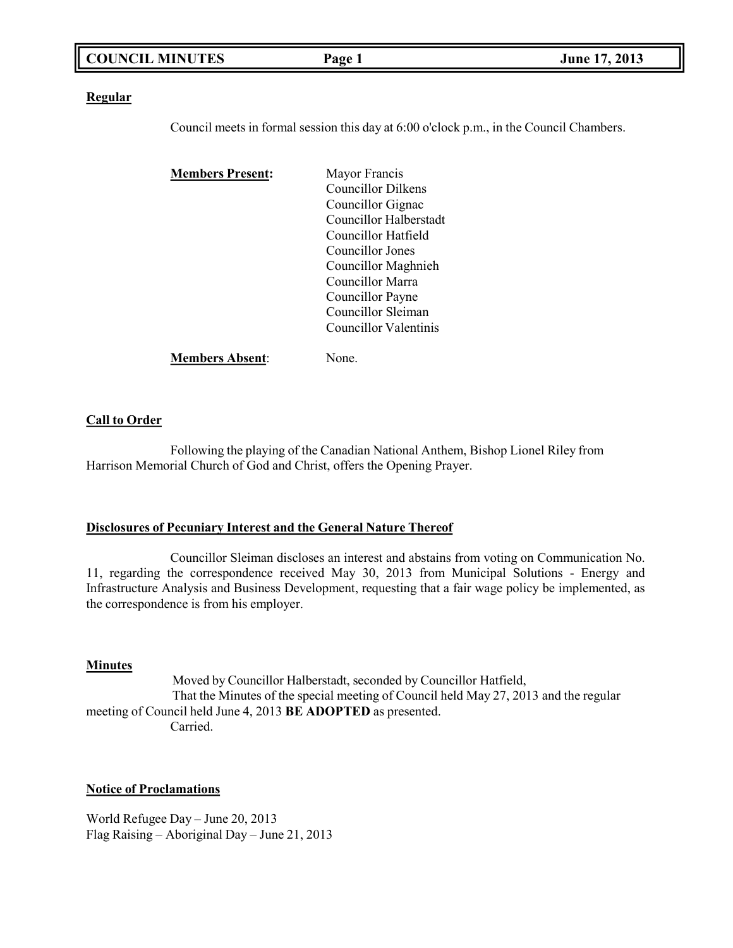| <b>COUNCIL MINUTES</b> | Page | 2013<br><b>June 17,</b> |
|------------------------|------|-------------------------|
|                        |      |                         |

### **Regular**

Council meets in formal session this day at 6:00 o'clock p.m., in the Council Chambers.

| <b>Members Present:</b> | Mayor Francis             |
|-------------------------|---------------------------|
|                         | <b>Councillor Dilkens</b> |
|                         | Councillor Gignac         |
|                         | Councillor Halberstadt    |
|                         | Councillor Hatfield       |
|                         | Councillor Jones          |
|                         | Councillor Maghnieh       |
|                         | Councillor Marra          |
|                         | Councillor Payne          |
|                         | Councillor Sleiman        |
|                         | Councillor Valentinis     |
| <b>Members Absent:</b>  | Jone.                     |

### **Call to Order**

Following the playing of the Canadian National Anthem, Bishop Lionel Riley from Harrison Memorial Church of God and Christ, offers the Opening Prayer.

### **Disclosures of Pecuniary Interest and the General Nature Thereof**

Councillor Sleiman discloses an interest and abstains from voting on Communication No. 11, regarding the correspondence received May 30, 2013 from Municipal Solutions - Energy and Infrastructure Analysis and Business Development, requesting that a fair wage policy be implemented, as the correspondence is from his employer.

### **Minutes**

Moved by Councillor Halberstadt, seconded by Councillor Hatfield, That the Minutes of the special meeting of Council held May 27, 2013 and the regular meeting of Council held June 4, 2013 **BE ADOPTED** as presented. Carried.

### **Notice of Proclamations**

World Refugee Day – June 20, 2013 Flag Raising – Aboriginal Day – June 21, 2013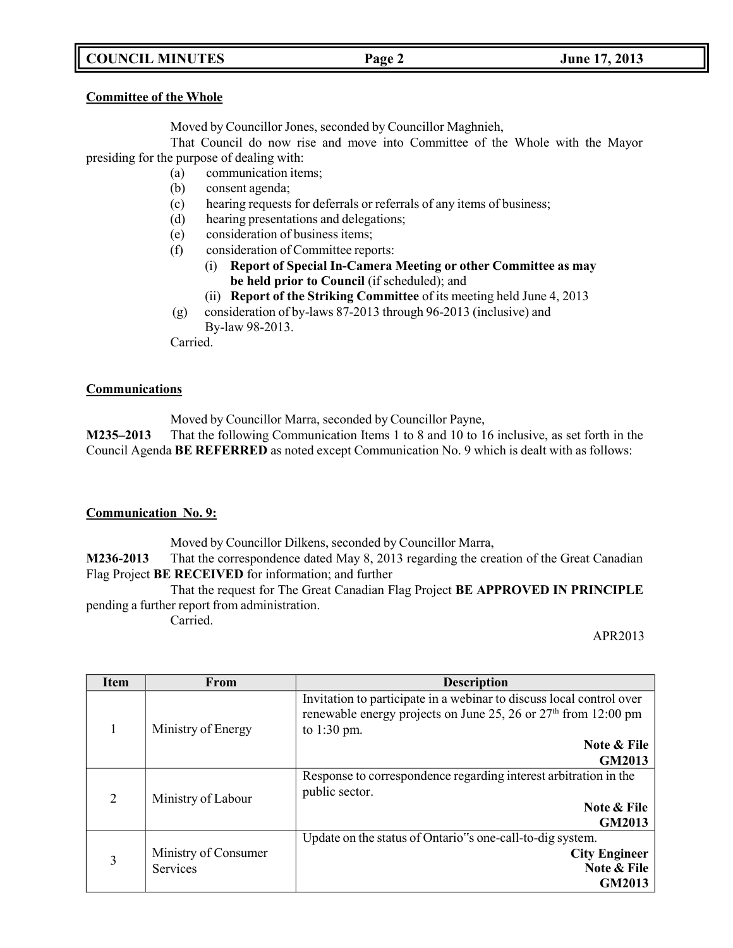# **COUNCIL MINUTES Page 2 June 17, 2013**

### **Committee of the Whole**

Moved by Councillor Jones, seconded by Councillor Maghnieh,

That Council do now rise and move into Committee of the Whole with the Mayor presiding for the purpose of dealing with:

- (a) communication items;
	- (b) consent agenda;
	- (c) hearing requests for deferrals or referrals of any items of business;
	- (d) hearing presentations and delegations;
	- (e) consideration of business items;
	- (f) consideration of Committee reports:
		- (i) **Report of Special In-Camera Meeting or other Committee as may be held prior to Council** (if scheduled); and
		- (ii) **Report of the Striking Committee** of its meeting held June 4, 2013
	- (g) consideration of by-laws 87-2013 through 96-2013 (inclusive) and By-law 98-2013.

Carried.

### **Communications**

Moved by Councillor Marra, seconded by Councillor Payne,

**M235–2013** That the following Communication Items 1 to 8 and 10 to 16 inclusive, as set forth in the Council Agenda **BE REFERRED** as noted except Communication No. 9 which is dealt with as follows:

### **Communication No. 9:**

Moved by Councillor Dilkens, seconded by Councillor Marra,

**M236-2013** That the correspondence dated May 8, 2013 regarding the creation of the Great Canadian Flag Project **BE RECEIVED** for information; and further

That the request for The Great Canadian Flag Project **BE APPROVED IN PRINCIPLE** pending a further report from administration. Carried.

APR2013

| <b>Item</b>    | <b>From</b>                             | <b>Description</b>                                                                                                                                        |
|----------------|-----------------------------------------|-----------------------------------------------------------------------------------------------------------------------------------------------------------|
|                | Ministry of Energy                      | Invitation to participate in a webinar to discuss local control over<br>renewable energy projects on June 25, 26 or $27th$ from 12:00 pm<br>to $1:30$ pm. |
|                |                                         | Note & File                                                                                                                                               |
|                |                                         | GM2013                                                                                                                                                    |
| $\mathfrak{D}$ | Ministry of Labour                      | Response to correspondence regarding interest arbitration in the<br>public sector.                                                                        |
|                |                                         | <b>Note &amp; File</b>                                                                                                                                    |
|                |                                         | GM2013                                                                                                                                                    |
|                |                                         | Update on the status of Ontario"s one-call-to-dig system.                                                                                                 |
| 3              | Ministry of Consumer<br><b>Services</b> | <b>City Engineer</b>                                                                                                                                      |
|                |                                         | Note & File                                                                                                                                               |
|                |                                         | GM2013                                                                                                                                                    |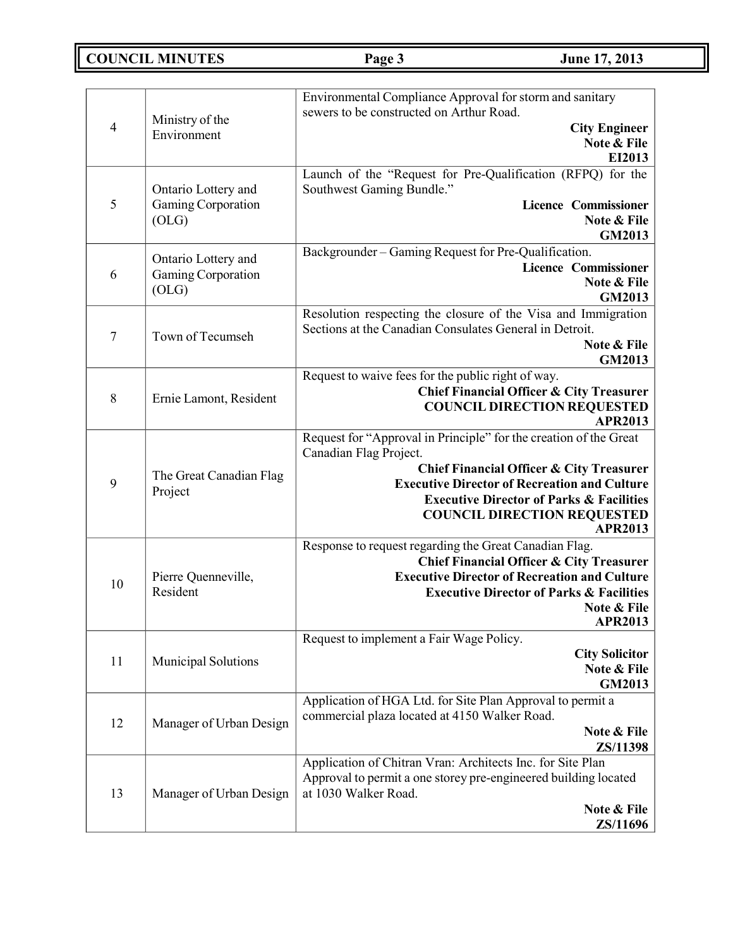**COUNCIL MINUTES Page 3 June 17, 2013**

|        |                                           | Environmental Compliance Approval for storm and sanitary          |
|--------|-------------------------------------------|-------------------------------------------------------------------|
|        | Ministry of the                           | sewers to be constructed on Arthur Road.                          |
| 4      | Environment                               | <b>City Engineer</b>                                              |
|        |                                           | Note & File<br>EI2013                                             |
|        |                                           | Launch of the "Request for Pre-Qualification (RFPQ) for the       |
|        | Ontario Lottery and                       | Southwest Gaming Bundle."                                         |
| 5      | Gaming Corporation                        | <b>Licence Commissioner</b>                                       |
|        | (OLG)                                     | Note & File                                                       |
|        |                                           | <b>GM2013</b>                                                     |
|        |                                           | Backgrounder - Gaming Request for Pre-Qualification.              |
| 6      | Ontario Lottery and<br>Gaming Corporation | <b>Licence Commissioner</b>                                       |
|        | (OLG)                                     | Note & File                                                       |
|        |                                           | GM2013                                                            |
|        |                                           | Resolution respecting the closure of the Visa and Immigration     |
| $\tau$ | Town of Tecumseh                          | Sections at the Canadian Consulates General in Detroit.           |
|        |                                           | Note & File<br>GM2013                                             |
|        |                                           | Request to waive fees for the public right of way.                |
|        |                                           | <b>Chief Financial Officer &amp; City Treasurer</b>               |
| $8\,$  | Ernie Lamont, Resident                    | <b>COUNCIL DIRECTION REQUESTED</b>                                |
|        |                                           | <b>APR2013</b>                                                    |
|        |                                           | Request for "Approval in Principle" for the creation of the Great |
|        | The Great Canadian Flag<br>Project        | Canadian Flag Project.                                            |
|        |                                           | Chief Financial Officer & City Treasurer                          |
| 9      |                                           | <b>Executive Director of Recreation and Culture</b>               |
|        |                                           | <b>Executive Director of Parks &amp; Facilities</b>               |
|        |                                           | <b>COUNCIL DIRECTION REQUESTED</b><br><b>APR2013</b>              |
|        |                                           | Response to request regarding the Great Canadian Flag.            |
|        |                                           | <b>Chief Financial Officer &amp; City Treasurer</b>               |
| 10     | Pierre Quenneville,                       | <b>Executive Director of Recreation and Culture</b>               |
|        | Resident                                  | <b>Executive Director of Parks &amp; Facilities</b>               |
|        |                                           | Note & File                                                       |
|        |                                           | <b>APR2013</b>                                                    |
|        |                                           | Request to implement a Fair Wage Policy.<br><b>City Solicitor</b> |
| 11     | <b>Municipal Solutions</b>                | Note & File                                                       |
|        |                                           | GM2013                                                            |
|        |                                           | Application of HGA Ltd. for Site Plan Approval to permit a        |
| 12     |                                           | commercial plaza located at 4150 Walker Road.                     |
|        | Manager of Urban Design                   | Note & File                                                       |
|        |                                           | ZS/11398                                                          |
|        |                                           | Application of Chitran Vran: Architects Inc. for Site Plan        |
|        | Manager of Urban Design                   | Approval to permit a one storey pre-engineered building located   |
| 13     |                                           | at 1030 Walker Road.<br>Note & File                               |
|        |                                           | ZS/11696                                                          |
|        |                                           |                                                                   |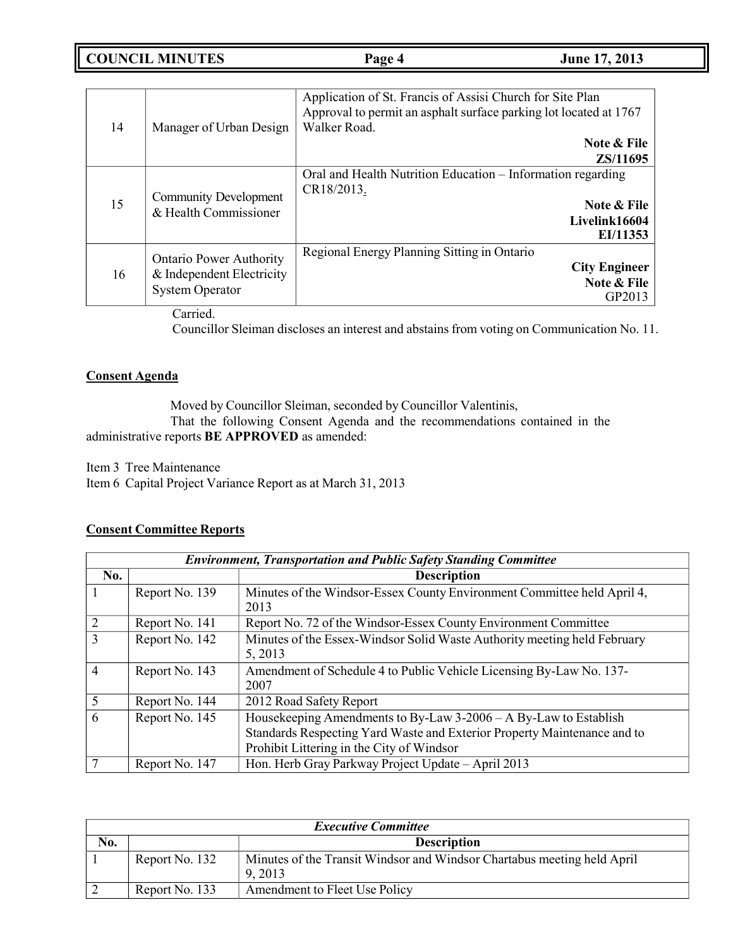**COUNCIL MINUTES Page 4 June 17, 2013**

| 14 | Manager of Urban Design                                                                                  | Application of St. Francis of Assisi Church for Site Plan<br>Approval to permit an asphalt surface parking lot located at 1767<br>Walker Road.<br>Note & File |
|----|----------------------------------------------------------------------------------------------------------|---------------------------------------------------------------------------------------------------------------------------------------------------------------|
|    |                                                                                                          | ZS/11695<br>Oral and Health Nutrition Education - Information regarding                                                                                       |
| 15 | <b>Community Development</b><br>& Health Commissioner                                                    | CR18/2013.<br>Note & File<br>Livelink16604<br>EI/11353                                                                                                        |
| 16 | <b>Ontario Power Authority</b><br>& Independent Electricity<br><b>System Operator</b><br>$\cdot$ $\cdot$ | Regional Energy Planning Sitting in Ontario<br><b>City Engineer</b><br>Note & File<br>GP2013                                                                  |

Carried.

Councillor Sleiman discloses an interest and abstains from voting on Communication No. 11.

### **Consent Agenda**

Moved by Councillor Sleiman, seconded by Councillor Valentinis,

That the following Consent Agenda and the recommendations contained in the administrative reports **BE APPROVED** as amended:

Item 3 Tree Maintenance Item 6 Capital Project Variance Report as at March 31, 2013

## **Consent Committee Reports**

|                | <b>Environment, Transportation and Public Safety Standing Committee</b> |                                                                                                                                                                                           |  |
|----------------|-------------------------------------------------------------------------|-------------------------------------------------------------------------------------------------------------------------------------------------------------------------------------------|--|
| No.            |                                                                         | <b>Description</b>                                                                                                                                                                        |  |
|                | Report No. 139                                                          | Minutes of the Windsor-Essex County Environment Committee held April 4,<br>2013                                                                                                           |  |
|                |                                                                         |                                                                                                                                                                                           |  |
| $\overline{2}$ | Report No. 141                                                          | Report No. 72 of the Windsor-Essex County Environment Committee                                                                                                                           |  |
| 3              | Report No. 142                                                          | Minutes of the Essex-Windsor Solid Waste Authority meeting held February<br>5, 2013                                                                                                       |  |
| $\overline{4}$ | Report No. 143                                                          | Amendment of Schedule 4 to Public Vehicle Licensing By-Law No. 137-<br>2007                                                                                                               |  |
| 5              | Report No. 144                                                          | 2012 Road Safety Report                                                                                                                                                                   |  |
| 6              | Report No. 145                                                          | Housekeeping Amendments to By-Law 3-2006 - A By-Law to Establish<br>Standards Respecting Yard Waste and Exterior Property Maintenance and to<br>Prohibit Littering in the City of Windsor |  |
|                | Report No. 147                                                          | Hon. Herb Gray Parkway Project Update - April 2013                                                                                                                                        |  |

| <b>Executive Committee</b> |                |                                                                                    |
|----------------------------|----------------|------------------------------------------------------------------------------------|
| No.                        |                | <b>Description</b>                                                                 |
|                            | Report No. 132 | Minutes of the Transit Windsor and Windsor Chartabus meeting held April<br>9, 2013 |
|                            | Report No. 133 | Amendment to Fleet Use Policy                                                      |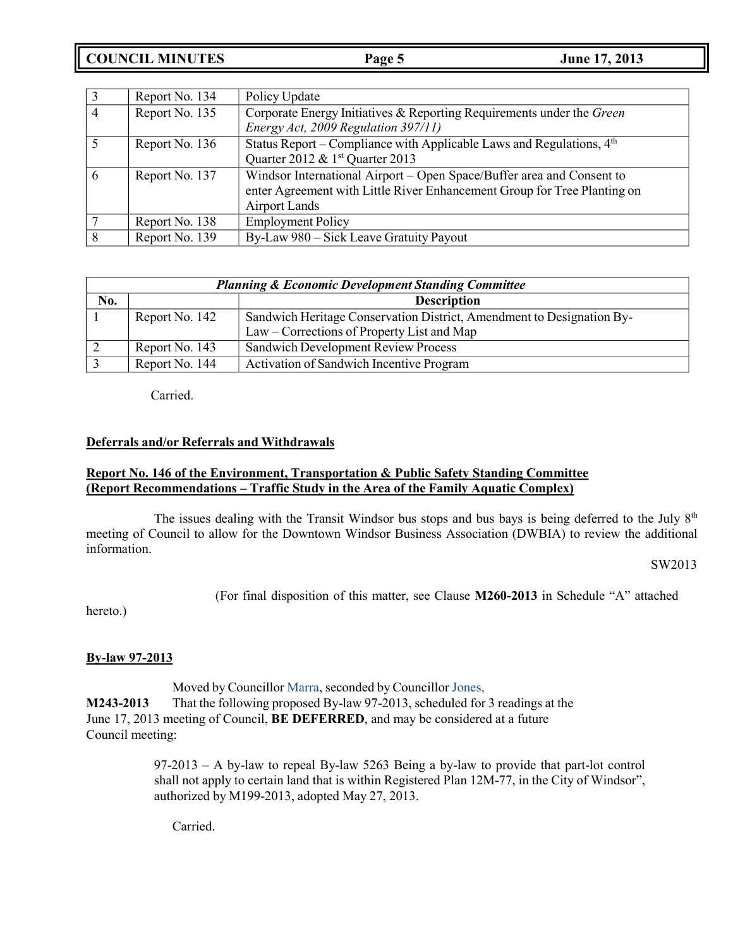**COUNCIL MINUTES Page 5 June 17, 2013**

|   | Report No. 134 | Policy Update                                                            |
|---|----------------|--------------------------------------------------------------------------|
|   | Report No. 135 | Corporate Energy Initiatives & Reporting Requirements under the Green    |
|   |                | Energy Act, 2009 Regulation 397/11)                                      |
|   | Report No. 136 | Status Report – Compliance with Applicable Laws and Regulations, $4th$   |
|   |                | Quarter 2012 & 1 <sup>st</sup> Quarter 2013                              |
| 6 | Report No. 137 | Windsor International Airport – Open Space/Buffer area and Consent to    |
|   |                | enter Agreement with Little River Enhancement Group for Tree Planting on |
|   |                | Airport Lands                                                            |
|   | Report No. 138 | <b>Employment Policy</b>                                                 |
|   | Report No. 139 | By-Law 980 – Sick Leave Gratuity Payout                                  |

| <b>Planning &amp; Economic Development Standing Committee</b> |                |                                                                       |
|---------------------------------------------------------------|----------------|-----------------------------------------------------------------------|
| No.                                                           |                | <b>Description</b>                                                    |
|                                                               | Report No. 142 | Sandwich Heritage Conservation District, Amendment to Designation By- |
|                                                               |                | Law – Corrections of Property List and Map                            |
|                                                               | Report No. 143 | <b>Sandwich Development Review Process</b>                            |
|                                                               | Report No. 144 | Activation of Sandwich Incentive Program                              |

Carried.

### **Deferrals and/or Referrals and Withdrawals**

### **Report No. 146 of the Environment, Transportation & Public Safety Standing Committee (Report Recommendations – Traffic Study in the Area of the Family Aquatic Complex)**

The issues dealing with the Transit Windsor bus stops and bus bays is being deferred to the July  $8<sup>th</sup>$ meeting of Council to allow for the Downtown Windsor Business Association (DWBIA) to review the additional information.

SW2013

(For final disposition of this matter, see Clause **M260-2013** in Schedule "A" attached

hereto.)

### **By-law 97-2013**

Moved by Councillor Marra, seconded by Councillor Jones, **M243-2013** That the following proposed By-law 97-2013, scheduled for 3 readings at the June 17, 2013 meeting of Council, **BE DEFERRED**, and may be considered at a future Council meeting:

> 97-2013 – A by-law to repeal By-law 5263 Being a by-law to provide that part-lot control shall not apply to certain land that is within Registered Plan 12M-77, in the City of Windsor", authorized by M199-2013, adopted May 27, 2013.

Carried.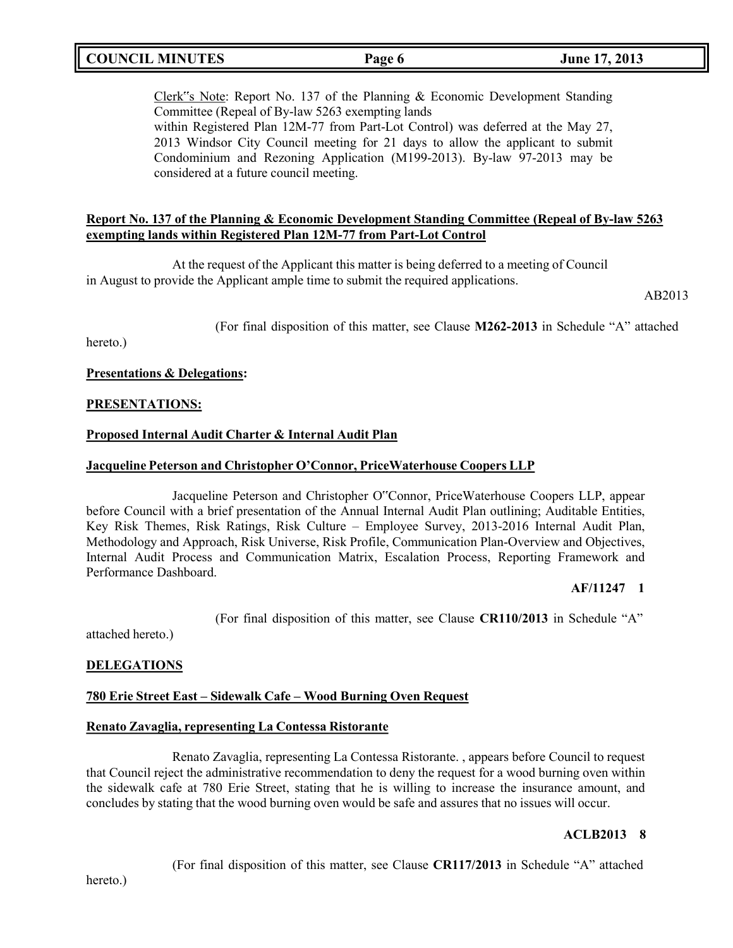## **COUNCIL MINUTES Page 6 June 17, 2013**

Clerk"s Note: Report No. 137 of the Planning & Economic Development Standing Committee (Repeal of By-law 5263 exempting lands within Registered Plan 12M-77 from Part-Lot Control) was deferred at the May 27, 2013 Windsor City Council meeting for 21 days to allow the applicant to submit Condominium and Rezoning Application (M199-2013). By-law 97-2013 may be considered at a future council meeting.

### **Report No. 137 of the Planning & Economic Development Standing Committee (Repeal of By-law 5263 exempting lands within Registered Plan 12M-77 from Part-Lot Control**

At the request of the Applicant this matter is being deferred to a meeting of Council in August to provide the Applicant ample time to submit the required applications.

AB2013

(For final disposition of this matter, see Clause **M262-2013** in Schedule "A" attached

hereto.)

### **Presentations & Delegations:**

### **PRESENTATIONS:**

### **Proposed Internal Audit Charter & Internal Audit Plan**

### **Jacqueline Peterson and Christopher O'Connor, PriceWaterhouse Coopers LLP**

Jacqueline Peterson and Christopher O"Connor, PriceWaterhouse Coopers LLP, appear before Council with a brief presentation of the Annual Internal Audit Plan outlining; Auditable Entities, Key Risk Themes, Risk Ratings, Risk Culture – Employee Survey, 2013-2016 Internal Audit Plan, Methodology and Approach, Risk Universe, Risk Profile, Communication Plan-Overview and Objectives, Internal Audit Process and Communication Matrix, Escalation Process, Reporting Framework and Performance Dashboard.

### **AF/11247 1**

(For final disposition of this matter, see Clause **CR110/2013** in Schedule "A"

attached hereto.)

### **DELEGATIONS**

### **780 Erie Street East – Sidewalk Cafe – Wood Burning Oven Request**

### **Renato Zavaglia, representing La Contessa Ristorante**

Renato Zavaglia, representing La Contessa Ristorante. , appears before Council to request that Council reject the administrative recommendation to deny the request for a wood burning oven within the sidewalk cafe at 780 Erie Street, stating that he is willing to increase the insurance amount, and concludes by stating that the wood burning oven would be safe and assures that no issues will occur.

### **ACLB2013 8**

(For final disposition of this matter, see Clause **CR117/2013** in Schedule "A" attached

hereto.)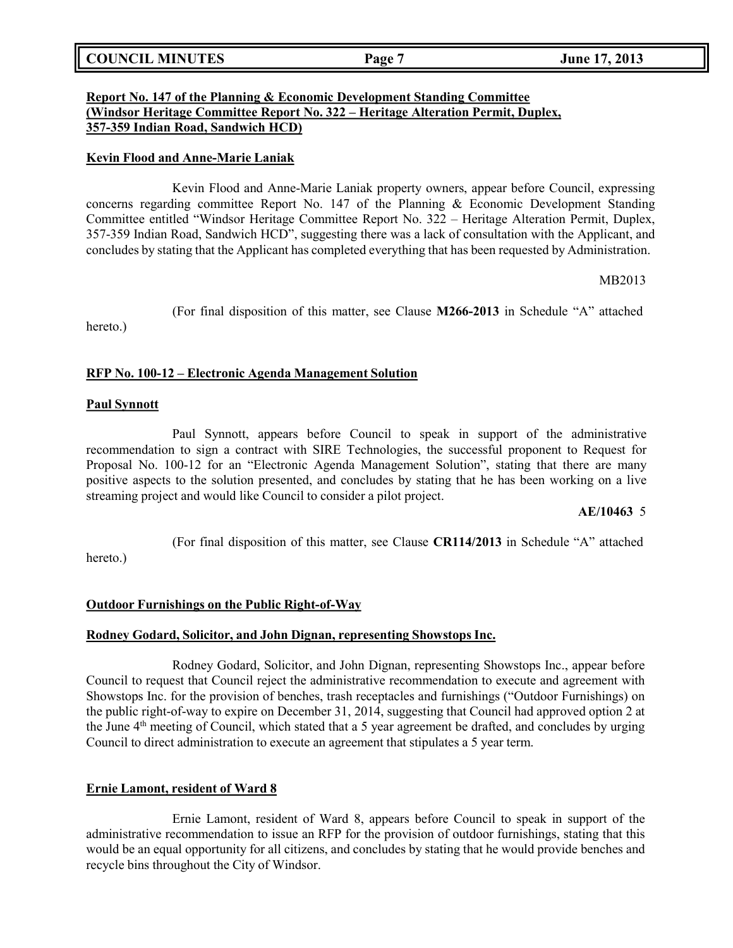|  | <b>COUNCIL MINUTES</b> | Page 7 | June 17, 2013 |
|--|------------------------|--------|---------------|
|--|------------------------|--------|---------------|

### **Report No. 147 of the Planning & Economic Development Standing Committee (Windsor Heritage Committee Report No. 322 – Heritage Alteration Permit, Duplex, 357-359 Indian Road, Sandwich HCD)**

### **Kevin Flood and Anne-Marie Laniak**

Kevin Flood and Anne-Marie Laniak property owners, appear before Council, expressing concerns regarding committee Report No. 147 of the Planning & Economic Development Standing Committee entitled "Windsor Heritage Committee Report No. 322 – Heritage Alteration Permit, Duplex, 357-359 Indian Road, Sandwich HCD", suggesting there was a lack of consultation with the Applicant, and concludes by stating that the Applicant has completed everything that has been requested by Administration.

MB2013

(For final disposition of this matter, see Clause **M266-2013** in Schedule "A" attached

hereto.)

### **RFP No. 100-12 – Electronic Agenda Management Solution**

### **Paul Synnott**

Paul Synnott, appears before Council to speak in support of the administrative recommendation to sign a contract with SIRE Technologies, the successful proponent to Request for Proposal No. 100-12 for an "Electronic Agenda Management Solution", stating that there are many positive aspects to the solution presented, and concludes by stating that he has been working on a live streaming project and would like Council to consider a pilot project.

### **AE/10463** 5

(For final disposition of this matter, see Clause **CR114/2013** in Schedule "A" attached

hereto.)

### **Outdoor Furnishings on the Public Right-of-Way**

### **Rodney Godard, Solicitor, and John Dignan, representing Showstops Inc.**

Rodney Godard, Solicitor, and John Dignan, representing Showstops Inc., appear before Council to request that Council reject the administrative recommendation to execute and agreement with Showstops Inc. for the provision of benches, trash receptacles and furnishings ("Outdoor Furnishings) on the public right-of-way to expire on December 31, 2014, suggesting that Council had approved option 2 at the June  $4<sup>th</sup>$  meeting of Council, which stated that a 5 year agreement be drafted, and concludes by urging Council to direct administration to execute an agreement that stipulates a 5 year term.

### **Ernie Lamont, resident of Ward 8**

Ernie Lamont, resident of Ward 8, appears before Council to speak in support of the administrative recommendation to issue an RFP for the provision of outdoor furnishings, stating that this would be an equal opportunity for all citizens, and concludes by stating that he would provide benches and recycle bins throughout the City of Windsor.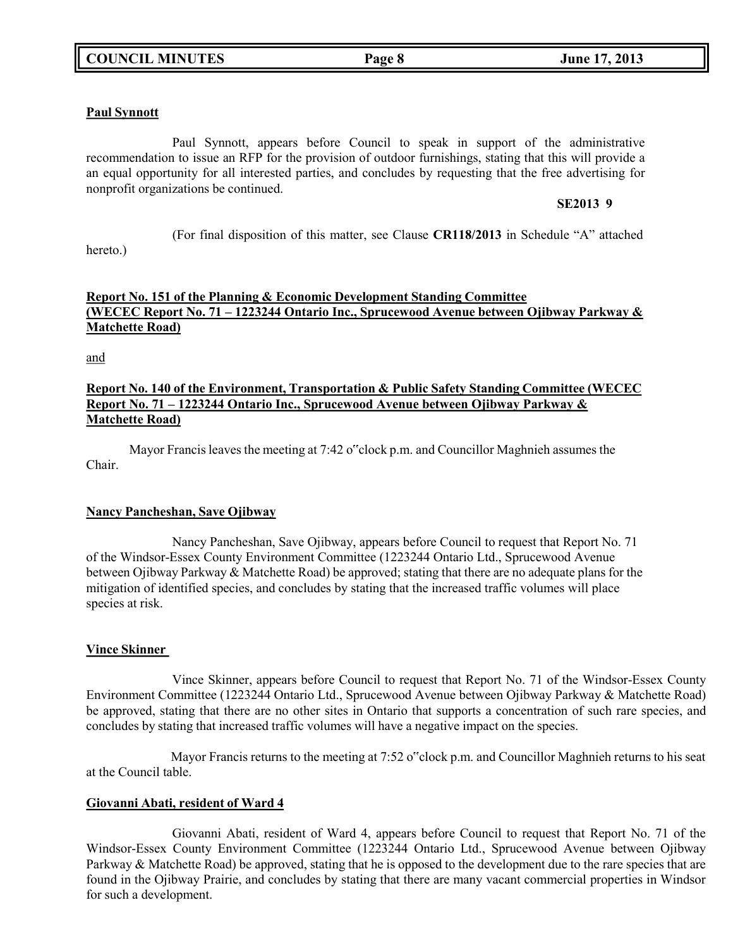### **Paul Synnott**

Paul Synnott, appears before Council to speak in support of the administrative recommendation to issue an RFP for the provision of outdoor furnishings, stating that this will provide a an equal opportunity for all interested parties, and concludes by requesting that the free advertising for nonprofit organizations be continued.

### **SE2013 9**

(For final disposition of this matter, see Clause **CR118/2013** in Schedule "A" attached

## **Report No. 151 of the Planning & Economic Development Standing Committee (WECEC Report No. 71 – 1223244 Ontario Inc., Sprucewood Avenue between Ojibway Parkway & Matchette Road)**

and

hereto.)

### **Report No. 140 of the Environment, Transportation & Public Safety Standing Committee (WECEC Report No. 71 – 1223244 Ontario Inc., Sprucewood Avenue between Ojibway Parkway & Matchette Road)**

Mayor Francis leaves the meeting at 7:42 o"clock p.m. and Councillor Maghnieh assumes the Chair.

### **Nancy Pancheshan, Save Ojibway**

Nancy Pancheshan, Save Ojibway, appears before Council to request that Report No. 71 of the Windsor-Essex County Environment Committee (1223244 Ontario Ltd., Sprucewood Avenue between Ojibway Parkway & Matchette Road) be approved; stating that there are no adequate plans for the mitigation of identified species, and concludes by stating that the increased traffic volumes will place species at risk.

### **Vince Skinner**

Vince Skinner, appears before Council to request that Report No. 71 of the Windsor-Essex County Environment Committee (1223244 Ontario Ltd., Sprucewood Avenue between Ojibway Parkway & Matchette Road) be approved, stating that there are no other sites in Ontario that supports a concentration of such rare species, and concludes by stating that increased traffic volumes will have a negative impact on the species.

Mayor Francis returns to the meeting at 7:52 o"clock p.m. and Councillor Maghnieh returns to his seat at the Council table.

### **Giovanni Abati, resident of Ward 4**

Giovanni Abati, resident of Ward 4, appears before Council to request that Report No. 71 of the Windsor-Essex County Environment Committee (1223244 Ontario Ltd., Sprucewood Avenue between Ojibway Parkway & Matchette Road) be approved, stating that he is opposed to the development due to the rare species that are found in the Ojibway Prairie, and concludes by stating that there are many vacant commercial properties in Windsor for such a development.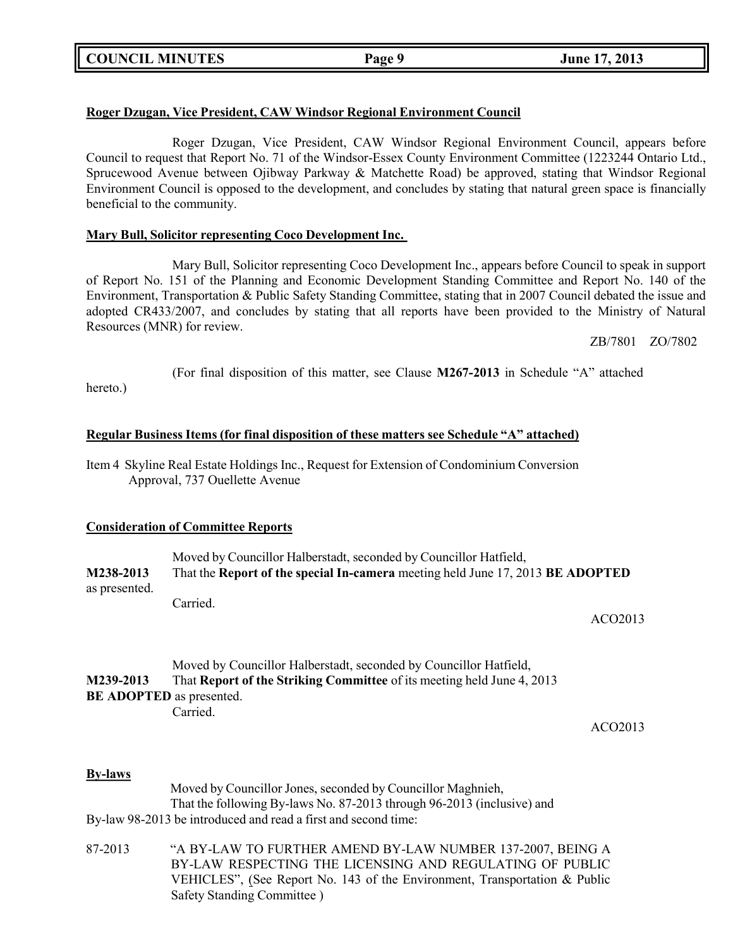## **Roger Dzugan, Vice President, CAW Windsor Regional Environment Council**

Roger Dzugan, Vice President, CAW Windsor Regional Environment Council, appears before Council to request that Report No. 71 of the Windsor-Essex County Environment Committee (1223244 Ontario Ltd., Sprucewood Avenue between Ojibway Parkway & Matchette Road) be approved, stating that Windsor Regional Environment Council is opposed to the development, and concludes by stating that natural green space is financially beneficial to the community.

### **Mary Bull, Solicitor representing Coco Development Inc.**

Mary Bull, Solicitor representing Coco Development Inc., appears before Council to speak in support of Report No. 151 of the Planning and Economic Development Standing Committee and Report No. 140 of the Environment, Transportation & Public Safety Standing Committee, stating that in 2007 Council debated the issue and adopted CR433/2007, and concludes by stating that all reports have been provided to the Ministry of Natural Resources (MNR) for review.

ZB/7801 ZO/7802

(For final disposition of this matter, see Clause **M267-2013** in Schedule "A" attached

hereto.)

### **Regular Business Items (for final disposition of these matters see Schedule "A" attached)**

Item 4 Skyline Real Estate Holdings Inc., Request for Extension of Condominium Conversion Approval, 737 Ouellette Avenue

### **Consideration of Committee Reports**

Moved by Councillor Halberstadt, seconded by Councillor Hatfield, **M238-2013** That the **Report of the special In-camera** meeting held June 17, 2013 **BE ADOPTED** as presented. Carried.

ACO2013

|                                 | Moved by Councillor Halberstadt, seconded by Councillor Hatfield,             |
|---------------------------------|-------------------------------------------------------------------------------|
| M239-2013                       | That <b>Report of the Striking Committee</b> of its meeting held June 4, 2013 |
| <b>BE ADOPTED</b> as presented. |                                                                               |
|                                 | Carried.                                                                      |

ACO2013

### **By-laws**

Moved by Councillor Jones, seconded by Councillor Maghnieh, That the following By-laws No. 87-2013 through 96-2013 (inclusive) and By-law 98-2013 be introduced and read a first and second time:

87-2013 "A BY-LAW TO FURTHER AMEND BY-LAW NUMBER 137-2007, BEING A BY-LAW RESPECTING THE LICENSING AND REGULATING OF PUBLIC VEHICLES", (See Report No. 143 of the Environment, Transportation & Public Safety Standing Committee )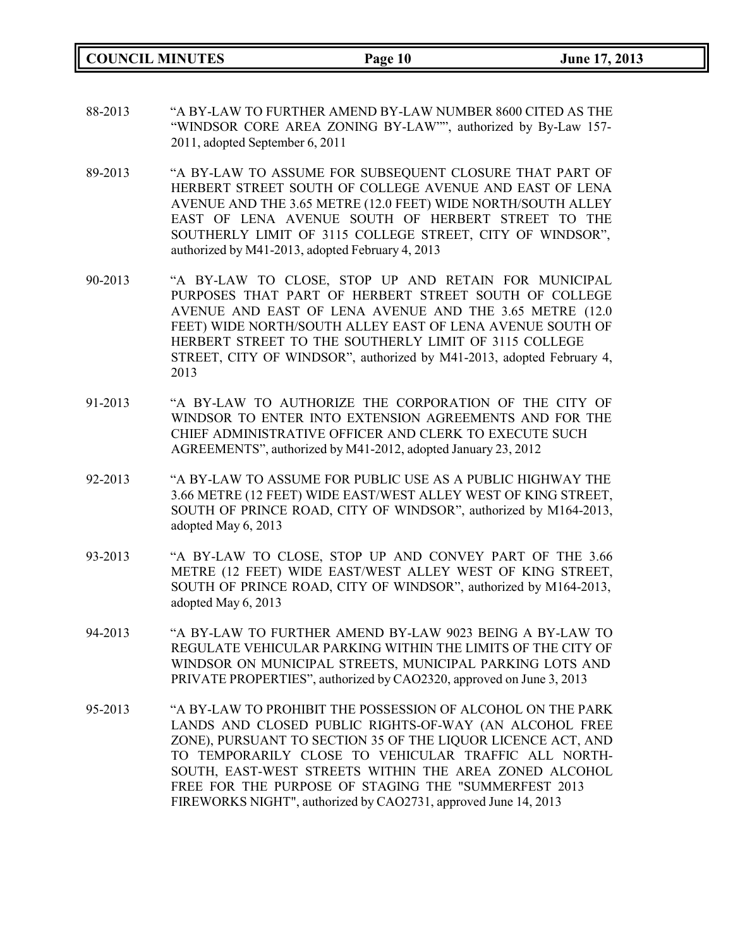**COUNCIL MINUTES Page 10 June 17, 2013**

- 88-2013 "A BY-LAW TO FURTHER AMEND BY-LAW NUMBER 8600 CITED AS THE "WINDSOR CORE AREA ZONING BY-LAW"", authorized by By-Law 157- 2011, adopted September 6, 2011
- 89-2013 "A BY-LAW TO ASSUME FOR SUBSEQUENT CLOSURE THAT PART OF HERBERT STREET SOUTH OF COLLEGE AVENUE AND EAST OF LENA AVENUE AND THE 3.65 METRE (12.0 FEET) WIDE NORTH/SOUTH ALLEY EAST OF LENA AVENUE SOUTH OF HERBERT STREET TO THE SOUTHERLY LIMIT OF 3115 COLLEGE STREET, CITY OF WINDSOR", authorized by M41-2013, adopted February 4, 2013
- 90-2013 "A BY-LAW TO CLOSE, STOP UP AND RETAIN FOR MUNICIPAL PURPOSES THAT PART OF HERBERT STREET SOUTH OF COLLEGE AVENUE AND EAST OF LENA AVENUE AND THE 3.65 METRE (12.0 FEET) WIDE NORTH/SOUTH ALLEY EAST OF LENA AVENUE SOUTH OF HERBERT STREET TO THE SOUTHERLY LIMIT OF 3115 COLLEGE STREET, CITY OF WINDSOR", authorized by M41-2013, adopted February 4, 2013
- 91-2013 "A BY-LAW TO AUTHORIZE THE CORPORATION OF THE CITY OF WINDSOR TO ENTER INTO EXTENSION AGREEMENTS AND FOR THE CHIEF ADMINISTRATIVE OFFICER AND CLERK TO EXECUTE SUCH AGREEMENTS", authorized by M41-2012, adopted January 23, 2012
- 92-2013 "A BY-LAW TO ASSUME FOR PUBLIC USE AS A PUBLIC HIGHWAY THE 3.66 METRE (12 FEET) WIDE EAST/WEST ALLEY WEST OF KING STREET, SOUTH OF PRINCE ROAD, CITY OF WINDSOR", authorized by M164-2013, adopted May 6, 2013
- 93-2013 "A BY-LAW TO CLOSE, STOP UP AND CONVEY PART OF THE 3.66 METRE (12 FEET) WIDE EAST/WEST ALLEY WEST OF KING STREET, SOUTH OF PRINCE ROAD, CITY OF WINDSOR", authorized by M164-2013, adopted May 6, 2013
- 94-2013 "A BY-LAW TO FURTHER AMEND BY-LAW 9023 BEING A BY-LAW TO REGULATE VEHICULAR PARKING WITHIN THE LIMITS OF THE CITY OF WINDSOR ON MUNICIPAL STREETS, MUNICIPAL PARKING LOTS AND PRIVATE PROPERTIES", authorized by CAO2320, approved on June 3, 2013
- 95-2013 "A BY-LAW TO PROHIBIT THE POSSESSION OF ALCOHOL ON THE PARK LANDS AND CLOSED PUBLIC RIGHTS-OF-WAY (AN ALCOHOL FREE ZONE), PURSUANT TO SECTION 35 OF THE LIQUOR LICENCE ACT, AND TO TEMPORARILY CLOSE TO VEHICULAR TRAFFIC ALL NORTH-SOUTH, EAST-WEST STREETS WITHIN THE AREA ZONED ALCOHOL FREE FOR THE PURPOSE OF STAGING THE "SUMMERFEST 2013 FIREWORKS NIGHT", authorized by CAO2731, approved June 14, 2013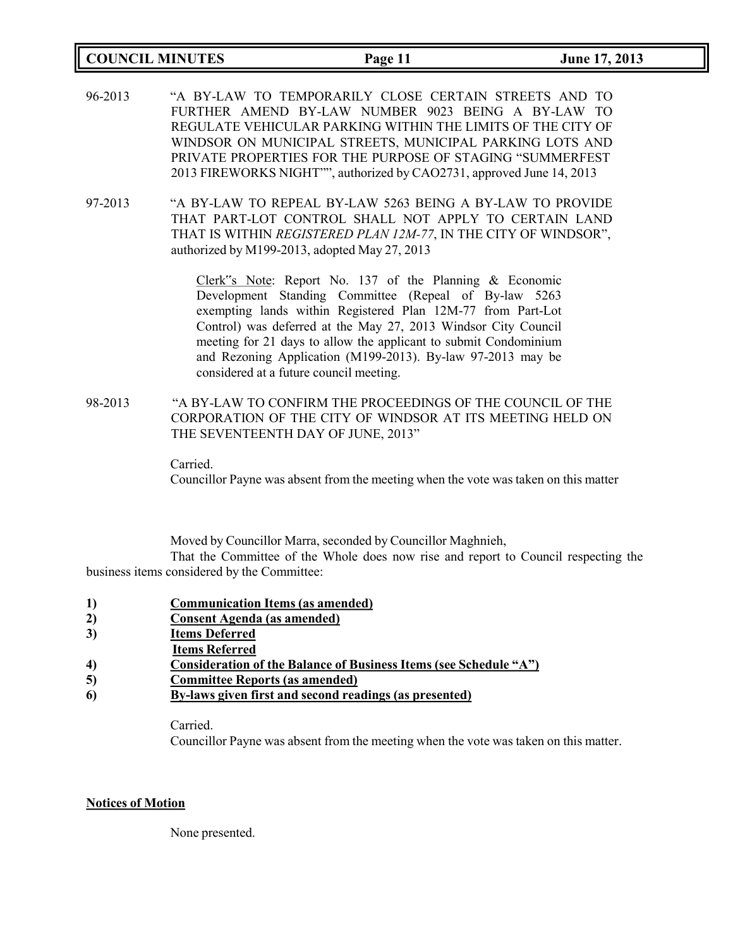### **COUNCIL MINUTES Page 11 June 17, 2013**

- 96-2013 "A BY-LAW TO TEMPORARILY CLOSE CERTAIN STREETS AND TO FURTHER AMEND BY-LAW NUMBER 9023 BEING A BY-LAW TO REGULATE VEHICULAR PARKING WITHIN THE LIMITS OF THE CITY OF WINDSOR ON MUNICIPAL STREETS, MUNICIPAL PARKING LOTS AND PRIVATE PROPERTIES FOR THE PURPOSE OF STAGING "SUMMERFEST 2013 FIREWORKS NIGHT"", authorized by CAO2731, approved June 14, 2013
- 97-2013 "A BY-LAW TO REPEAL BY-LAW 5263 BEING A BY-LAW TO PROVIDE THAT PART-LOT CONTROL SHALL NOT APPLY TO CERTAIN LAND THAT IS WITHIN *REGISTERED PLAN 12M-77*, IN THE CITY OF WINDSOR", authorized by M199-2013, adopted May 27, 2013

Clerk"s Note: Report No. 137 of the Planning & Economic Development Standing Committee (Repeal of By-law 5263 exempting lands within Registered Plan 12M-77 from Part-Lot Control) was deferred at the May 27, 2013 Windsor City Council meeting for 21 days to allow the applicant to submit Condominium and Rezoning Application (M199-2013). By-law 97-2013 may be considered at a future council meeting.

98-2013 "A BY-LAW TO CONFIRM THE PROCEEDINGS OF THE COUNCIL OF THE CORPORATION OF THE CITY OF WINDSOR AT ITS MEETING HELD ON THE SEVENTEENTH DAY OF JUNE, 2013"

Carried.

Councillor Payne was absent from the meeting when the vote was taken on this matter

Moved by Councillor Marra, seconded by Councillor Maghnieh,

That the Committee of the Whole does now rise and report to Council respecting the business items considered by the Committee:

- **1) Communication Items (as amended)**
- **2) Consent Agenda (as amended)**
- **3) Items Deferred**
- **Items Referred**
- **4) Consideration of the Balance of Business Items (see Schedule "A")**
- **5) Committee Reports (as amended)**
- **6) By-laws given first and second readings (as presented)**

Carried.

Councillor Payne was absent from the meeting when the vote was taken on this matter.

### **Notices of Motion**

None presented.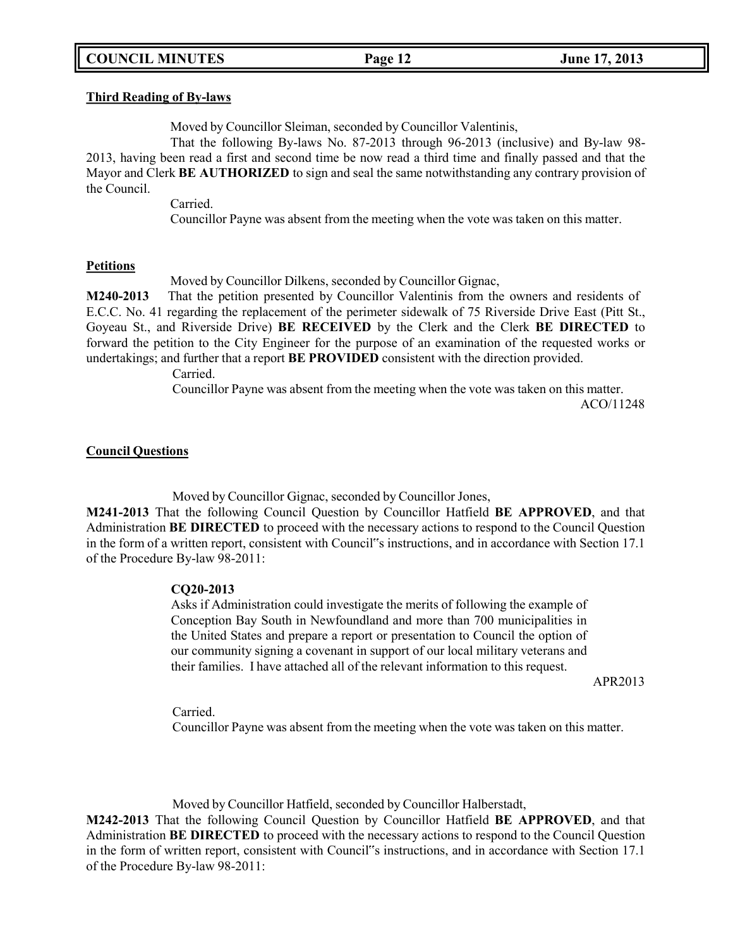### **Third Reading of By-laws**

Moved by Councillor Sleiman, seconded by Councillor Valentinis,

That the following By-laws No. 87-2013 through 96-2013 (inclusive) and By-law 98- 2013, having been read a first and second time be now read a third time and finally passed and that the Mayor and Clerk **BE AUTHORIZED** to sign and seal the same notwithstanding any contrary provision of the Council.

Carried.

Councillor Payne was absent from the meeting when the vote was taken on this matter.

### **Petitions**

Moved by Councillor Dilkens, seconded by Councillor Gignac,

**M240-2013** That the petition presented by Councillor Valentinis from the owners and residents of E.C.C. No. 41 regarding the replacement of the perimeter sidewalk of 75 Riverside Drive East (Pitt St., Goyeau St., and Riverside Drive) **BE RECEIVED** by the Clerk and the Clerk **BE DIRECTED** to forward the petition to the City Engineer for the purpose of an examination of the requested works or undertakings; and further that a report **BE PROVIDED** consistent with the direction provided.

Carried.

Councillor Payne was absent from the meeting when the vote was taken on this matter.

ACO/11248

### **Council Questions**

Moved by Councillor Gignac, seconded by Councillor Jones,

**M241-2013** That the following Council Question by Councillor Hatfield **BE APPROVED**, and that Administration **BE DIRECTED** to proceed with the necessary actions to respond to the Council Question in the form of a written report, consistent with Council"s instructions, and in accordance with Section 17.1 of the Procedure By-law 98-2011:

### **CQ20-2013**

Asks if Administration could investigate the merits of following the example of Conception Bay South in Newfoundland and more than 700 municipalities in the United States and prepare a report or presentation to Council the option of our community signing a covenant in support of our local military veterans and their families. I have attached all of the relevant information to this request.

APR2013

Carried.

Councillor Payne was absent from the meeting when the vote was taken on this matter.

Moved by Councillor Hatfield, seconded by Councillor Halberstadt,

**M242-2013** That the following Council Question by Councillor Hatfield **BE APPROVED**, and that Administration **BE DIRECTED** to proceed with the necessary actions to respond to the Council Question in the form of written report, consistent with Council"s instructions, and in accordance with Section 17.1 of the Procedure By-law 98-2011: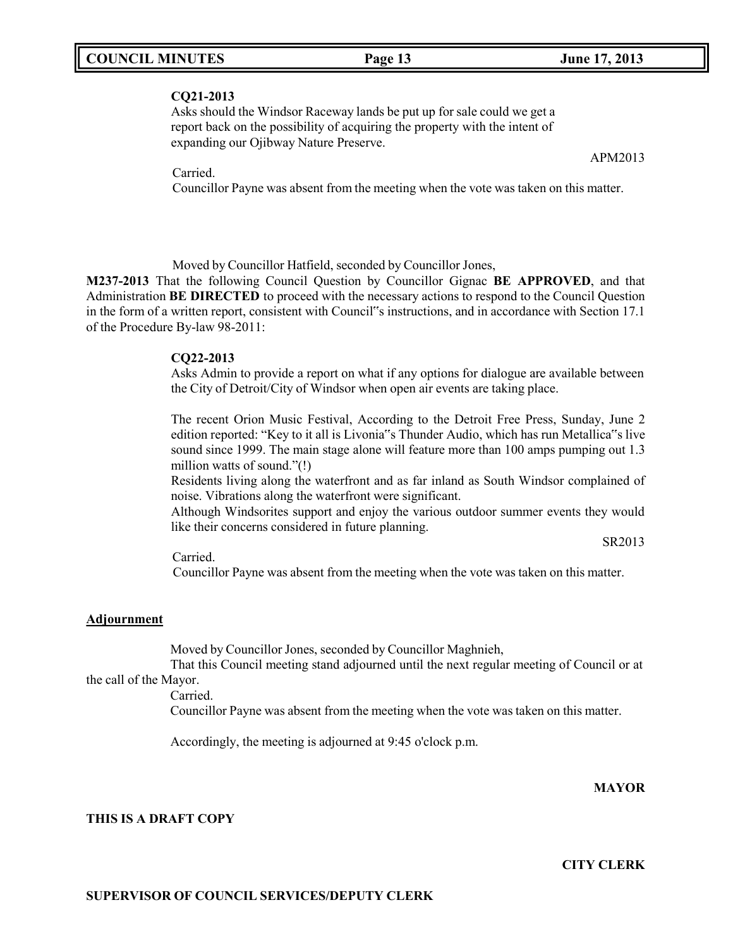### **CQ21-2013**

Asks should the Windsor Raceway lands be put up for sale could we get a report back on the possibility of acquiring the property with the intent of expanding our Ojibway Nature Preserve.

Carried.

Councillor Payne was absent from the meeting when the vote was taken on this matter.

Moved by Councillor Hatfield, seconded by Councillor Jones,

**M237-2013** That the following Council Question by Councillor Gignac **BE APPROVED**, and that Administration **BE DIRECTED** to proceed with the necessary actions to respond to the Council Question in the form of a written report, consistent with Council"s instructions, and in accordance with Section 17.1 of the Procedure By-law 98-2011:

### **CQ22-2013**

Asks Admin to provide a report on what if any options for dialogue are available between the City of Detroit/City of Windsor when open air events are taking place.

The recent Orion Music Festival, According to the Detroit Free Press, Sunday, June 2 edition reported: "Key to it all is Livonia"s Thunder Audio, which has run Metallica"s live sound since 1999. The main stage alone will feature more than 100 amps pumping out 1.3 million watts of sound."(!)

Residents living along the waterfront and as far inland as South Windsor complained of noise. Vibrations along the waterfront were significant.

Although Windsorites support and enjoy the various outdoor summer events they would like their concerns considered in future planning.

SR2013

Carried.

Councillor Payne was absent from the meeting when the vote was taken on this matter.

### **Adjournment**

Moved by Councillor Jones, seconded by Councillor Maghnieh,

That this Council meeting stand adjourned until the next regular meeting of Council or at the call of the Mayor.

Carried.

Councillor Payne was absent from the meeting when the vote was taken on this matter.

Accordingly, the meeting is adjourned at 9:45 o'clock p.m.

### **MAYOR**

**CITY CLERK**

### **THIS IS A DRAFT COPY**

APM2013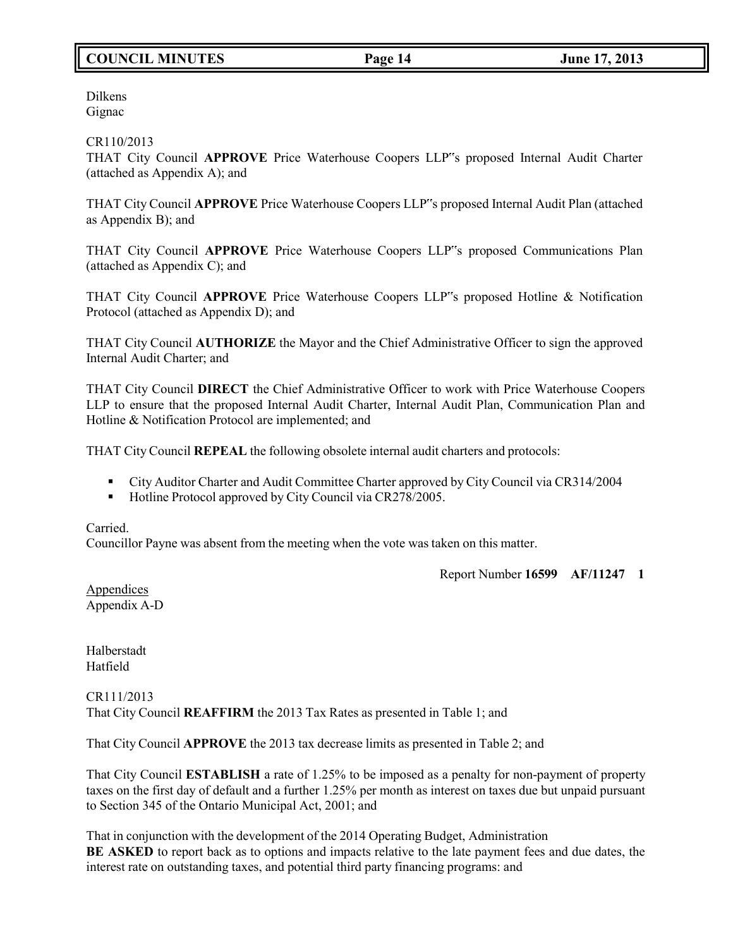# **COUNCIL MINUTES Page 14 June 17, 2013**

Dilkens Gignac

### CR110/2013

THAT City Council **APPROVE** Price Waterhouse Coopers LLP"s proposed Internal Audit Charter (attached as Appendix A); and

THAT City Council **APPROVE** Price Waterhouse Coopers LLP"s proposed Internal Audit Plan (attached as Appendix B); and

THAT City Council **APPROVE** Price Waterhouse Coopers LLP"s proposed Communications Plan (attached as Appendix C); and

THAT City Council **APPROVE** Price Waterhouse Coopers LLP"s proposed Hotline & Notification Protocol (attached as Appendix D); and

THAT City Council **AUTHORIZE** the Mayor and the Chief Administrative Officer to sign the approved Internal Audit Charter; and

THAT City Council **DIRECT** the Chief Administrative Officer to work with Price Waterhouse Coopers LLP to ensure that the proposed Internal Audit Charter, Internal Audit Plan, Communication Plan and Hotline & Notification Protocol are implemented; and

THAT City Council **REPEAL** the following obsolete internal audit charters and protocols:

- City Auditor Charter and Audit Committee Charter approved by City Council via CR314/2004
- Hotline Protocol approved by City Council via CR278/2005.

Carried. Councillor Payne was absent from the meeting when the vote was taken on this matter.

Report Number **16599 AF/11247 1**

Appendices Appendix A-D

Halberstadt Hatfield

CR111/2013 That City Council **REAFFIRM** the 2013 Tax Rates as presented in Table 1; and

That City Council **APPROVE** the 2013 tax decrease limits as presented in Table 2; and

That City Council **ESTABLISH** a rate of 1.25% to be imposed as a penalty for non-payment of property taxes on the first day of default and a further 1.25% per month as interest on taxes due but unpaid pursuant to Section 345 of the Ontario Municipal Act, 2001; and

That in conjunction with the development of the 2014 Operating Budget, Administration **BE ASKED** to report back as to options and impacts relative to the late payment fees and due dates, the interest rate on outstanding taxes, and potential third party financing programs: and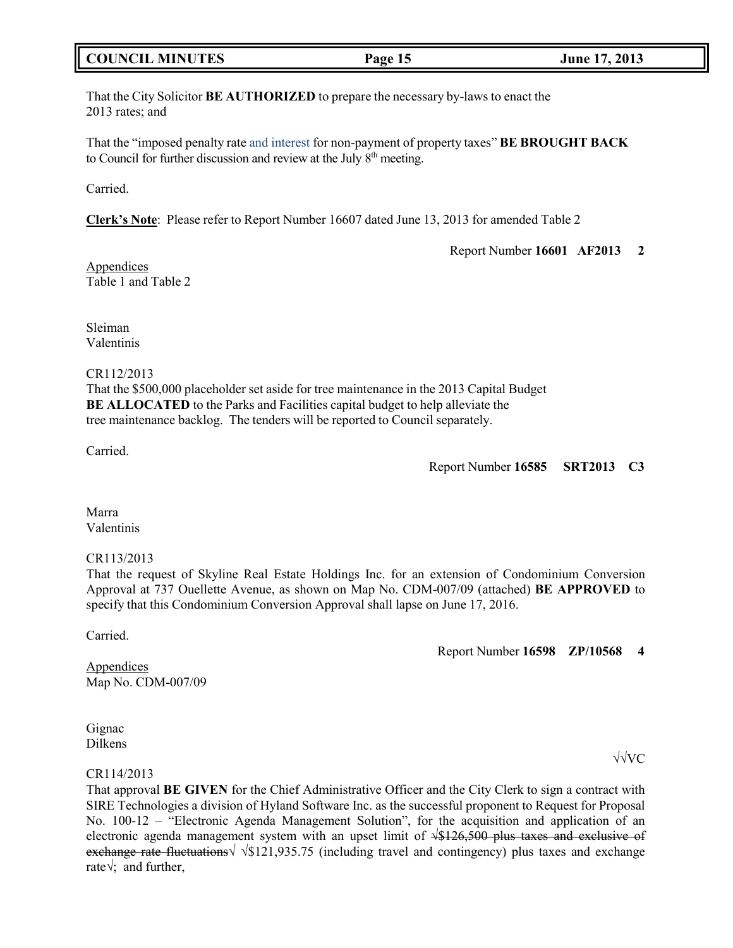## **COUNCIL MINUTES Page 15 June 17, 2013**

That the City Solicitor **BE AUTHORIZED** to prepare the necessary by-laws to enact the 2013 rates; and

That the "imposed penalty rate and interest for non-payment of property taxes" **BE BROUGHT BACK** to Council for further discussion and review at the July 8<sup>th</sup> meeting.

Carried.

**Clerk's Note**: Please refer to Report Number 16607 dated June 13, 2013 for amended Table 2

Report Number **16601 AF2013 2**

Appendices Table 1 and Table 2

Sleiman Valentinis

### CR112/2013

That the \$500,000 placeholder set aside for tree maintenance in the 2013 Capital Budget **BE ALLOCATED** to the Parks and Facilities capital budget to help alleviate the tree maintenance backlog. The tenders will be reported to Council separately.

Carried.

### Report Number **16585 SRT2013 C3**

Marra Valentinis

### CR113/2013

That the request of Skyline Real Estate Holdings Inc. for an extension of Condominium Conversion Approval at 737 Ouellette Avenue, as shown on Map No. CDM-007/09 (attached) **BE APPROVED** to specify that this Condominium Conversion Approval shall lapse on June 17, 2016.

Carried.

Report Number **16598 ZP/10568 4**

Appendices Map No. CDM-007/09

Gignac Dilkens

### CR114/2013

That approval **BE GIVEN** for the Chief Administrative Officer and the City Clerk to sign a contract with SIRE Technologies a division of Hyland Software Inc. as the successful proponent to Request for Proposal No. 100-12 – "Electronic Agenda Management Solution", for the acquisition and application of an electronic agenda management system with an upset limit of  $\sqrt{$126,500}$  plus taxes and exclusive of exchange rate fluctuations  $\sqrt{$121.935.75}$  (including travel and contingency) plus taxes and exchange rate√; and further,

√√VC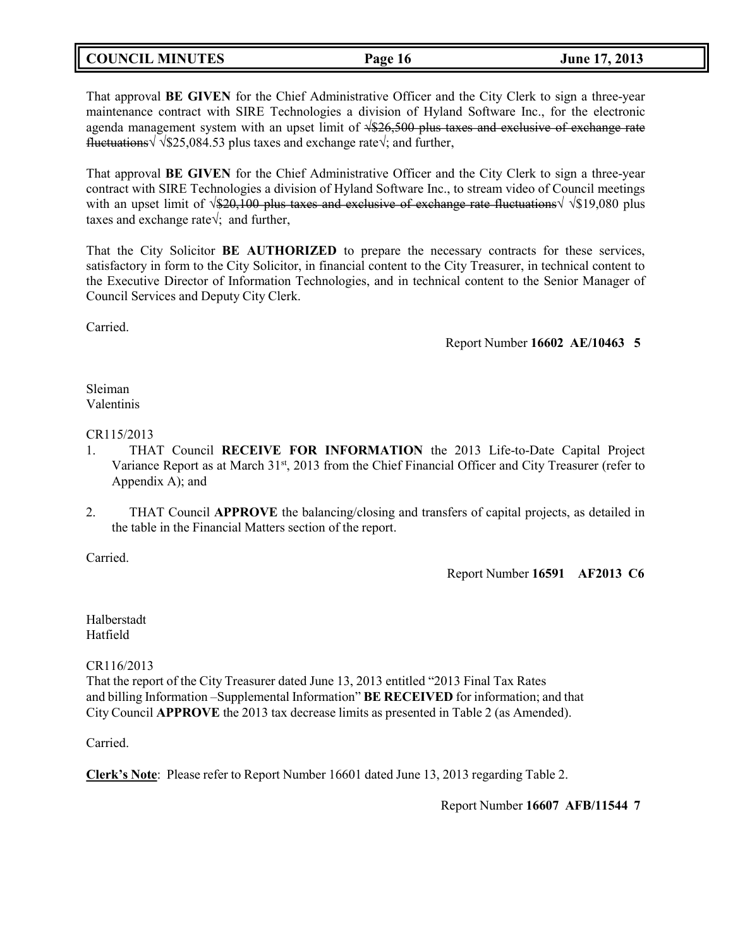# **COUNCIL MINUTES Page 16 June 17, 2013**

That approval **BE GIVEN** for the Chief Administrative Officer and the City Clerk to sign a three-year maintenance contract with SIRE Technologies a division of Hyland Software Inc., for the electronic agenda management system with an upset limit of  $\sqrt{$26,500}$  plus taxes and exclusive of exchange rate fluctuations√ √\$25,084.53 plus taxes and exchange rate√; and further,

That approval **BE GIVEN** for the Chief Administrative Officer and the City Clerk to sign a three-year contract with SIRE Technologies a division of Hyland Software Inc., to stream video of Council meetings with an upset limit of √\$20,100 plus taxes and exclusive of exchange rate fluctuations√ √\$19,080 plus taxes and exchange rate√; and further,

That the City Solicitor **BE AUTHORIZED** to prepare the necessary contracts for these services, satisfactory in form to the City Solicitor, in financial content to the City Treasurer, in technical content to the Executive Director of Information Technologies, and in technical content to the Senior Manager of Council Services and Deputy City Clerk.

Carried.

Report Number **16602 AE/10463 5**

### Sleiman Valentinis

## CR115/2013

- 1. THAT Council **RECEIVE FOR INFORMATION** the 2013 Life-to-Date Capital Project Variance Report as at March 31st, 2013 from the Chief Financial Officer and City Treasurer (refer to Appendix A); and
- 2. THAT Council **APPROVE** the balancing/closing and transfers of capital projects, as detailed in the table in the Financial Matters section of the report.

Carried.

Report Number **16591 AF2013 C6**

Halberstadt Hatfield

CR116/2013

That the report of the City Treasurer dated June 13, 2013 entitled "2013 Final Tax Rates and billing Information –Supplemental Information" **BE RECEIVED** for information; and that City Council **APPROVE** the 2013 tax decrease limits as presented in Table 2 (as Amended).

Carried.

**Clerk's Note**: Please refer to Report Number 16601 dated June 13, 2013 regarding Table 2.

Report Number **16607 AFB/11544 7**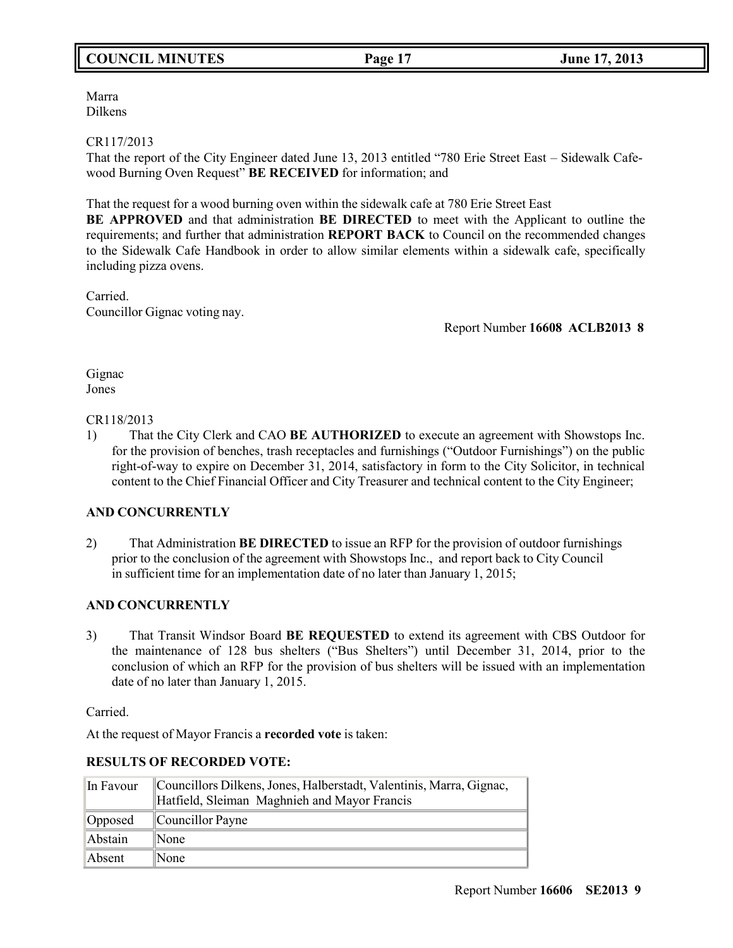# **COUNCIL MINUTES Page 17 June 17, 2013**

Marra Dilkens

### CR117/2013

That the report of the City Engineer dated June 13, 2013 entitled "780 Erie Street East – Sidewalk Cafewood Burning Oven Request" **BE RECEIVED** for information; and

That the request for a wood burning oven within the sidewalk cafe at 780 Erie Street East

**BE APPROVED** and that administration **BE DIRECTED** to meet with the Applicant to outline the requirements; and further that administration **REPORT BACK** to Council on the recommended changes to the Sidewalk Cafe Handbook in order to allow similar elements within a sidewalk cafe, specifically including pizza ovens.

Carried. Councillor Gignac voting nay.

Report Number **16608 ACLB2013 8**

Gignac Jones

CR118/2013

1) That the City Clerk and CAO **BE AUTHORIZED** to execute an agreement with Showstops Inc. for the provision of benches, trash receptacles and furnishings ("Outdoor Furnishings") on the public right-of-way to expire on December 31, 2014, satisfactory in form to the City Solicitor, in technical content to the Chief Financial Officer and City Treasurer and technical content to the City Engineer;

## **AND CONCURRENTLY**

2) That Administration **BE DIRECTED** to issue an RFP for the provision of outdoor furnishings prior to the conclusion of the agreement with Showstops Inc., and report back to City Council in sufficient time for an implementation date of no later than January 1, 2015;

### **AND CONCURRENTLY**

3) That Transit Windsor Board **BE REQUESTED** to extend its agreement with CBS Outdoor for the maintenance of 128 bus shelters ("Bus Shelters") until December 31, 2014, prior to the conclusion of which an RFP for the provision of bus shelters will be issued with an implementation date of no later than January 1, 2015.

Carried.

At the request of Mayor Francis a **recorded vote** is taken:

### **RESULTS OF RECORDED VOTE:**

| In Favour | Councillors Dilkens, Jones, Halberstadt, Valentinis, Marra, Gignac,<br>Hatfield, Sleiman Maghnieh and Mayor Francis |
|-----------|---------------------------------------------------------------------------------------------------------------------|
| Opposed   | $\mathbb{C}$ ouncillor Payne                                                                                        |
| Abstain   | $\mathbb{N}$ one                                                                                                    |
| Absent    | $\mathbb{N}$ one                                                                                                    |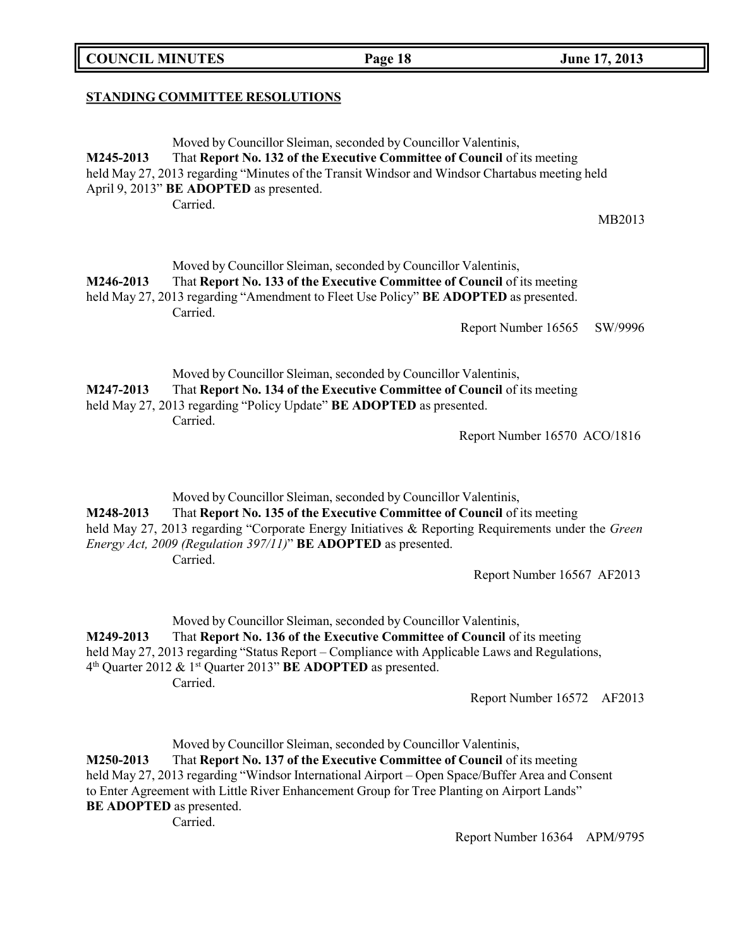### **COUNCIL MINUTES Page 18 June 17, 2013**

### **STANDING COMMITTEE RESOLUTIONS**

Moved by Councillor Sleiman, seconded by Councillor Valentinis, **M245-2013** That **Report No. 132 of the Executive Committee of Council** of its meeting held May 27, 2013 regarding "Minutes of the Transit Windsor and Windsor Chartabus meeting held April 9, 2013" **BE ADOPTED** as presented. Carried. MB2013 Moved by Councillor Sleiman, seconded by Councillor Valentinis, **M246-2013** That **Report No. 133 of the Executive Committee of Council** of its meeting held May 27, 2013 regarding "Amendment to Fleet Use Policy" **BE ADOPTED** as presented.

Carried.

Report Number 16565 SW/9996

Moved by Councillor Sleiman, seconded by Councillor Valentinis, **M247-2013** That **Report No. 134 of the Executive Committee of Council** of its meeting held May 27, 2013 regarding "Policy Update" **BE ADOPTED** as presented. Carried.

Report Number 16570 ACO/1816

Moved by Councillor Sleiman, seconded by Councillor Valentinis, **M248-2013** That **Report No. 135 of the Executive Committee of Council** of its meeting held May 27, 2013 regarding "Corporate Energy Initiatives & Reporting Requirements under the *Green Energy Act, 2009 (Regulation 397/11)*" **BE ADOPTED** as presented.

Carried.

Report Number 16567 AF2013

Moved by Councillor Sleiman, seconded by Councillor Valentinis, **M249-2013** That **Report No. 136 of the Executive Committee of Council** of its meeting held May 27, 2013 regarding "Status Report – Compliance with Applicable Laws and Regulations, 4 th Quarter 2012 & 1 st Quarter 2013" **BE ADOPTED** as presented. Carried.

Report Number 16572 AF2013

Moved by Councillor Sleiman, seconded by Councillor Valentinis,

**M250-2013** That **Report No. 137 of the Executive Committee of Council** of its meeting held May 27, 2013 regarding "Windsor International Airport – Open Space/Buffer Area and Consent to Enter Agreement with Little River Enhancement Group for Tree Planting on Airport Lands" **BE ADOPTED** as presented.

Carried.

Report Number 16364 APM/9795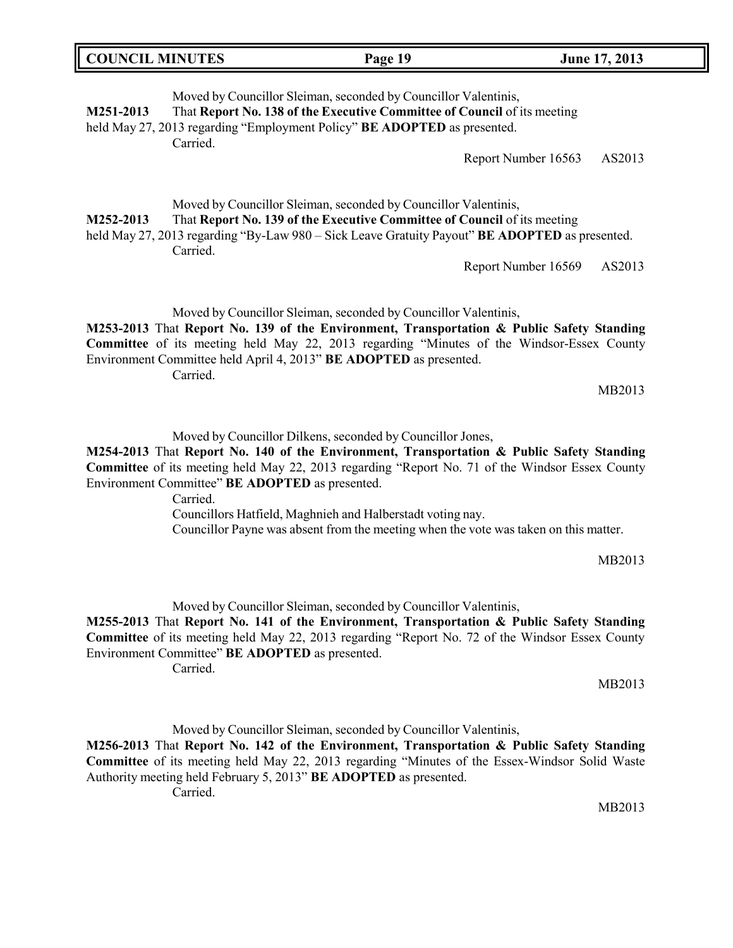| <b>COUNCIL MINUTES</b> |          | Page 19                                                                                                                                                                                                                                                              | June 17, 2013 |
|------------------------|----------|----------------------------------------------------------------------------------------------------------------------------------------------------------------------------------------------------------------------------------------------------------------------|---------------|
| M251-2013              | Carried. | Moved by Councillor Sleiman, seconded by Councillor Valentinis,<br>That Report No. 138 of the Executive Committee of Council of its meeting<br>held May 27, 2013 regarding "Employment Policy" BE ADOPTED as presented.<br>Report Number 16563                       | AS2013        |
| M252-2013              | Carried. | Moved by Councillor Sleiman, seconded by Councillor Valentinis,<br>That Report No. 139 of the Executive Committee of Council of its meeting<br>held May 27, 2013 regarding "By-Law 980 – Sick Leave Gratuity Payout" BE ADOPTED as presented.<br>Report Number 16569 | AS2013        |

Moved by Councillor Sleiman, seconded by Councillor Valentinis,

**M253-2013** That **Report No. 139 of the Environment, Transportation & Public Safety Standing Committee** of its meeting held May 22, 2013 regarding "Minutes of the Windsor-Essex County Environment Committee held April 4, 2013" **BE ADOPTED** as presented. Carried.

MB2013

Moved by Councillor Dilkens, seconded by Councillor Jones,

**M254-2013** That **Report No. 140 of the Environment, Transportation & Public Safety Standing Committee** of its meeting held May 22, 2013 regarding "Report No. 71 of the Windsor Essex County Environment Committee" **BE ADOPTED** as presented.

Carried.

Councillors Hatfield, Maghnieh and Halberstadt voting nay.

Councillor Payne was absent from the meeting when the vote was taken on this matter.

MB2013

Moved by Councillor Sleiman, seconded by Councillor Valentinis,

**M255-2013** That **Report No. 141 of the Environment, Transportation & Public Safety Standing Committee** of its meeting held May 22, 2013 regarding "Report No. 72 of the Windsor Essex County Environment Committee" **BE ADOPTED** as presented.

Carried.

MB2013

Moved by Councillor Sleiman, seconded by Councillor Valentinis, **M256-2013** That **Report No. 142 of the Environment, Transportation & Public Safety Standing Committee** of its meeting held May 22, 2013 regarding "Minutes of the Essex-Windsor Solid Waste Authority meeting held February 5, 2013" **BE ADOPTED** as presented.

Carried.

MB2013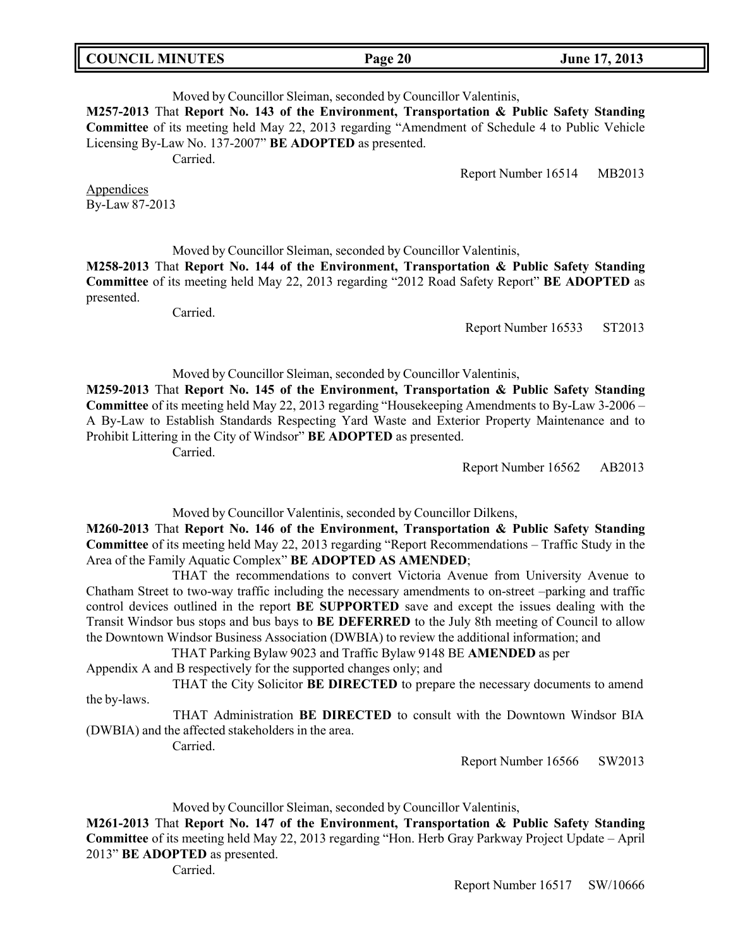### **COUNCIL MINUTES Page 20 June 17, 2013**

# Moved by Councillor Sleiman, seconded by Councillor Valentinis, **M257-2013** That **Report No. 143 of the Environment, Transportation & Public Safety Standing**

**Committee** of its meeting held May 22, 2013 regarding "Amendment of Schedule 4 to Public Vehicle Licensing By-Law No. 137-2007" **BE ADOPTED** as presented.

Carried.

Report Number 16514 MB2013

Appendices By-Law 87-2013

Moved by Councillor Sleiman, seconded by Councillor Valentinis,

**M258-2013** That **Report No. 144 of the Environment, Transportation & Public Safety Standing Committee** of its meeting held May 22, 2013 regarding "2012 Road Safety Report" **BE ADOPTED** as presented.

Carried.

Report Number 16533 ST2013

### Moved by Councillor Sleiman, seconded by Councillor Valentinis,

**M259-2013** That **Report No. 145 of the Environment, Transportation & Public Safety Standing Committee** of its meeting held May 22, 2013 regarding "Housekeeping Amendments to By-Law 3-2006 – A By-Law to Establish Standards Respecting Yard Waste and Exterior Property Maintenance and to Prohibit Littering in the City of Windsor" **BE ADOPTED** as presented.

Carried.

Report Number 16562 AB2013

Moved by Councillor Valentinis, seconded by Councillor Dilkens,

**M260-2013** That **Report No. 146 of the Environment, Transportation & Public Safety Standing Committee** of its meeting held May 22, 2013 regarding "Report Recommendations – Traffic Study in the Area of the Family Aquatic Complex" **BE ADOPTED AS AMENDED**;

THAT the recommendations to convert Victoria Avenue from University Avenue to Chatham Street to two-way traffic including the necessary amendments to on-street –parking and traffic control devices outlined in the report **BE SUPPORTED** save and except the issues dealing with the Transit Windsor bus stops and bus bays to **BE DEFERRED** to the July 8th meeting of Council to allow the Downtown Windsor Business Association (DWBIA) to review the additional information; and

THAT Parking Bylaw 9023 and Traffic Bylaw 9148 BE **AMENDED** as per Appendix A and B respectively for the supported changes only; and

THAT the City Solicitor **BE DIRECTED** to prepare the necessary documents to amend the by-laws.

THAT Administration **BE DIRECTED** to consult with the Downtown Windsor BIA (DWBIA) and the affected stakeholders in the area.

Carried.

Report Number 16566 SW2013

Moved by Councillor Sleiman, seconded by Councillor Valentinis,

**M261-2013** That **Report No. 147 of the Environment, Transportation & Public Safety Standing Committee** of its meeting held May 22, 2013 regarding "Hon. Herb Gray Parkway Project Update – April 2013" **BE ADOPTED** as presented.

Carried.

Report Number 16517 SW/10666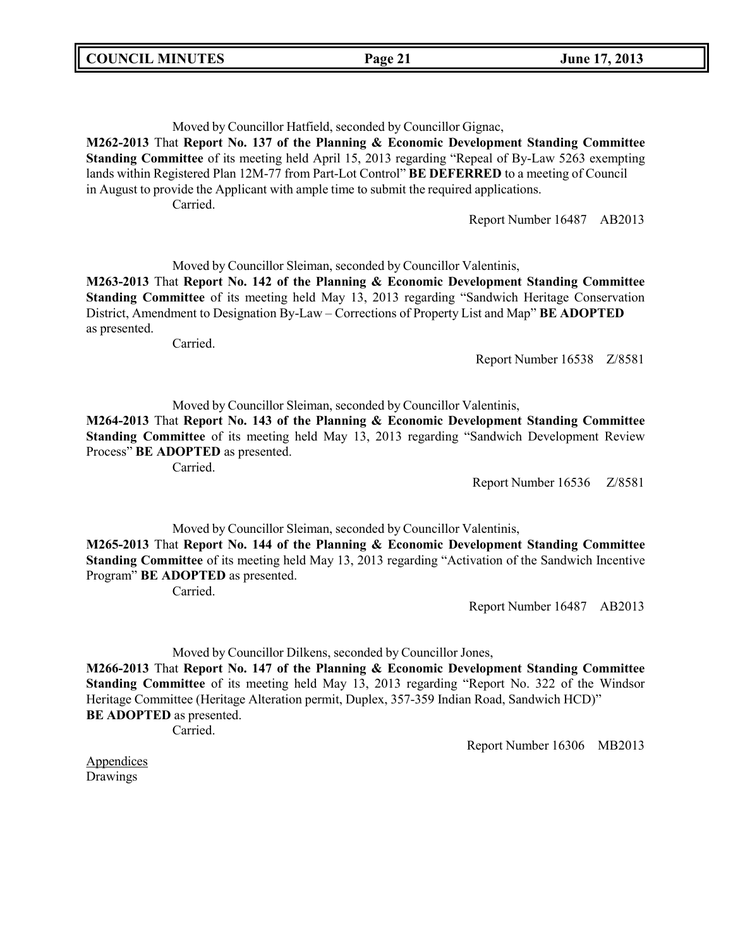### Moved by Councillor Hatfield, seconded by Councillor Gignac,

**M262-2013** That **Report No. 137 of the Planning & Economic Development Standing Committee Standing Committee** of its meeting held April 15, 2013 regarding "Repeal of By-Law 5263 exempting lands within Registered Plan 12M-77 from Part-Lot Control" **BE DEFERRED** to a meeting of Council in August to provide the Applicant with ample time to submit the required applications. Carried.

Report Number 16487 AB2013

Moved by Councillor Sleiman, seconded by Councillor Valentinis,

**M263-2013** That **Report No. 142 of the Planning & Economic Development Standing Committee Standing Committee** of its meeting held May 13, 2013 regarding "Sandwich Heritage Conservation District, Amendment to Designation By-Law – Corrections of Property List and Map" **BE ADOPTED** as presented.

Carried.

Report Number 16538 Z/8581

Moved by Councillor Sleiman, seconded by Councillor Valentinis,

**M264-2013** That **Report No. 143 of the Planning & Economic Development Standing Committee Standing Committee** of its meeting held May 13, 2013 regarding "Sandwich Development Review Process" **BE ADOPTED** as presented.

Carried.

Report Number 16536 Z/8581

Moved by Councillor Sleiman, seconded by Councillor Valentinis,

**M265-2013** That **Report No. 144 of the Planning & Economic Development Standing Committee Standing Committee** of its meeting held May 13, 2013 regarding "Activation of the Sandwich Incentive Program" **BE ADOPTED** as presented.

Carried.

Report Number 16487 AB2013

Moved by Councillor Dilkens, seconded by Councillor Jones,

**M266-2013** That **Report No. 147 of the Planning & Economic Development Standing Committee Standing Committee** of its meeting held May 13, 2013 regarding "Report No. 322 of the Windsor Heritage Committee (Heritage Alteration permit, Duplex, 357-359 Indian Road, Sandwich HCD)" **BE ADOPTED** as presented.

Carried.

Report Number 16306 MB2013

Appendices Drawings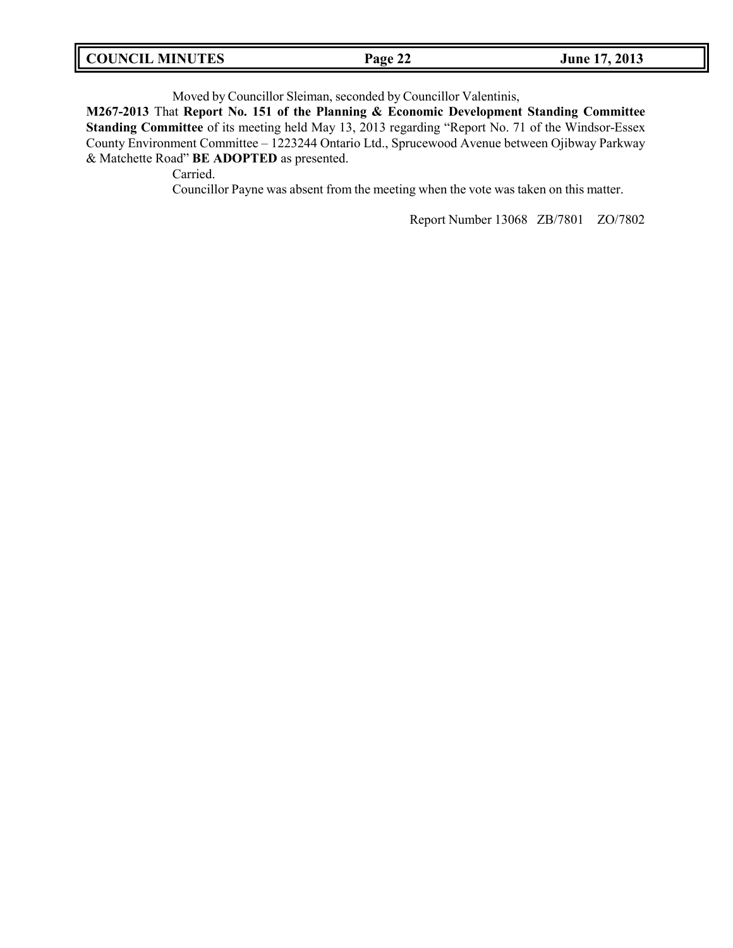| <b>COUNCIL MINUTES</b><br>June 17, 2013<br>Page 22 |  |
|----------------------------------------------------|--|
|----------------------------------------------------|--|

Moved by Councillor Sleiman, seconded by Councillor Valentinis,

**M267-2013** That **Report No. 151 of the Planning & Economic Development Standing Committee Standing Committee** of its meeting held May 13, 2013 regarding "Report No. 71 of the Windsor-Essex County Environment Committee – 1223244 Ontario Ltd., Sprucewood Avenue between Ojibway Parkway & Matchette Road" **BE ADOPTED** as presented.

Carried.

Councillor Payne was absent from the meeting when the vote was taken on this matter.

Report Number 13068 ZB/7801 ZO/7802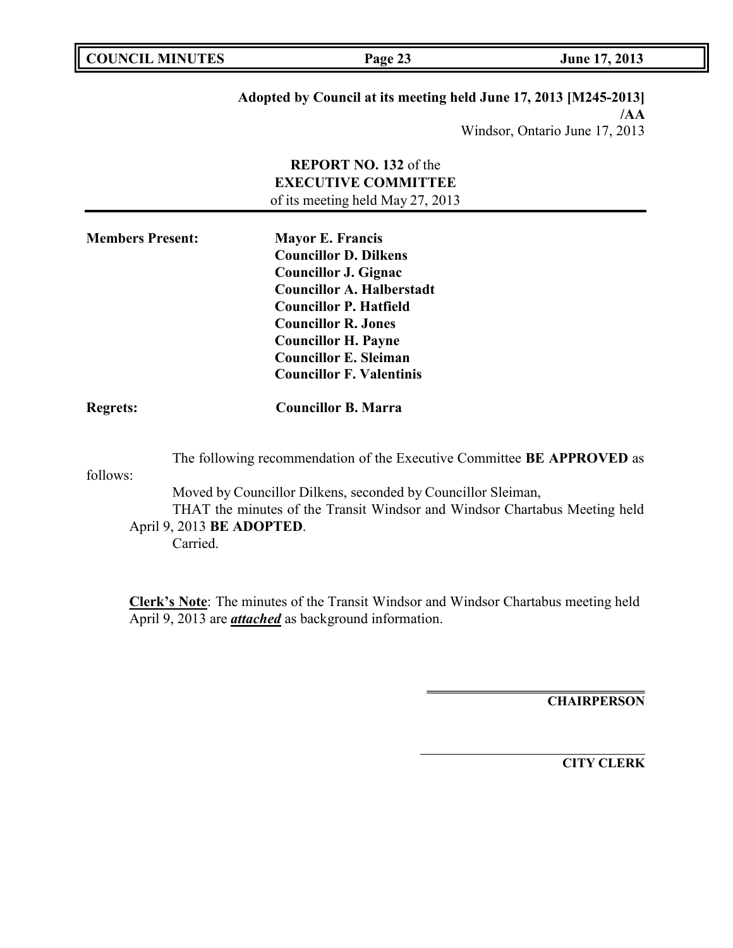| <b>COUNCIL MINUTES</b> | Page 23 | June 17, 2013 |
|------------------------|---------|---------------|
|------------------------|---------|---------------|

f,

# **Adopted by Council at its meeting held June 17, 2013 [M245-2013]**

**/AA** Windsor, Ontario June 17, 2013

|                                                   | REPORT NO. 132 of the<br><b>EXECUTIVE COMMITTEE</b><br>of its meeting held May 27, 2013                                                                                                                                                                                                    |
|---------------------------------------------------|--------------------------------------------------------------------------------------------------------------------------------------------------------------------------------------------------------------------------------------------------------------------------------------------|
| <b>Members Present:</b>                           | <b>Mayor E. Francis</b><br><b>Councillor D. Dilkens</b><br><b>Councillor J. Gignac</b><br><b>Councillor A. Halberstadt</b><br><b>Councillor P. Hatfield</b><br><b>Councillor R. Jones</b><br><b>Councillor H. Payne</b><br><b>Councillor E. Sleiman</b><br><b>Councillor F. Valentinis</b> |
| <b>Regrets:</b>                                   | <b>Councillor B. Marra</b>                                                                                                                                                                                                                                                                 |
| follows:<br>April 9, 2013 BE ADOPTED.<br>Carried. | The following recommendation of the Executive Committee BE APPROVED as<br>Moved by Councillor Dilkens, seconded by Councillor Sleiman,<br>THAT the minutes of the Transit Windsor and Windsor Chartabus Meeting held                                                                       |
|                                                   | <b>Clerk's Note:</b> The minutes of the Transit Windsor and Windsor Chartabus meeting held                                                                                                                                                                                                 |

April 9, 2013 are *attached* as background information.

**CHAIRPERSON**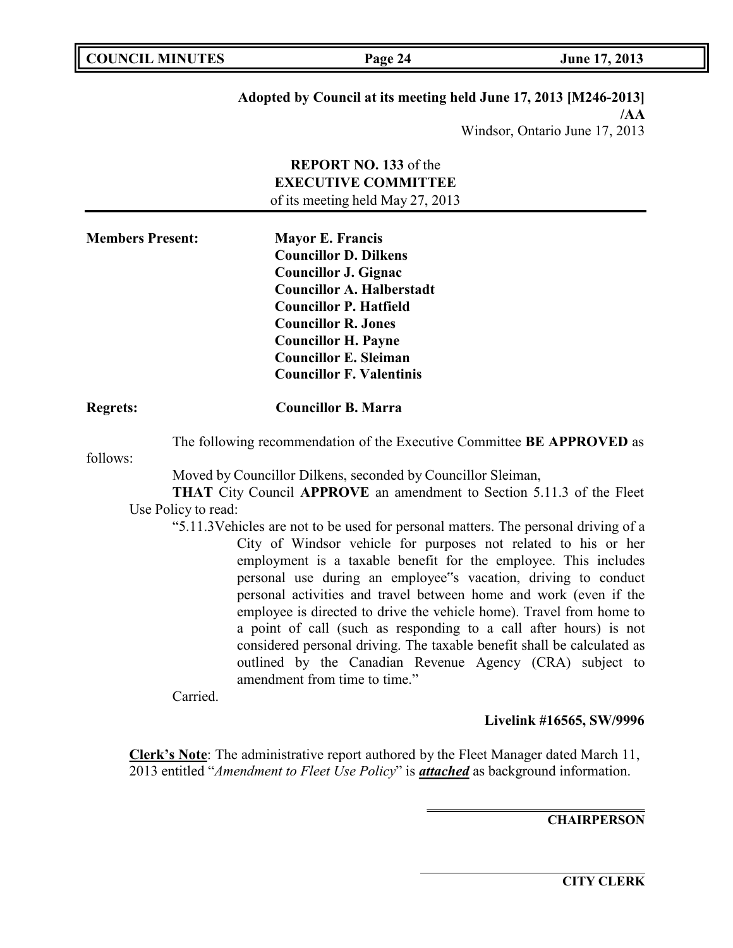**COUNCIL MINUTES Page 24 June 17, 2013**

# **Adopted by Council at its meeting held June 17, 2013 [M246-2013]**

**/AA** Windsor, Ontario June 17, 2013

|                         | REPORT NO. 133 of the                                                                                                                                                                                                                                                                                                                                                                                                                                                                                                                                                                                                                                                               |
|-------------------------|-------------------------------------------------------------------------------------------------------------------------------------------------------------------------------------------------------------------------------------------------------------------------------------------------------------------------------------------------------------------------------------------------------------------------------------------------------------------------------------------------------------------------------------------------------------------------------------------------------------------------------------------------------------------------------------|
|                         | <b>EXECUTIVE COMMITTEE</b>                                                                                                                                                                                                                                                                                                                                                                                                                                                                                                                                                                                                                                                          |
|                         | of its meeting held May 27, 2013                                                                                                                                                                                                                                                                                                                                                                                                                                                                                                                                                                                                                                                    |
| <b>Members Present:</b> | <b>Mayor E. Francis</b><br><b>Councillor D. Dilkens</b><br><b>Councillor J. Gignac</b><br><b>Councillor A. Halberstadt</b><br><b>Councillor P. Hatfield</b><br><b>Councillor R. Jones</b><br><b>Councillor H. Payne</b><br><b>Councillor E. Sleiman</b><br><b>Councillor F. Valentinis</b>                                                                                                                                                                                                                                                                                                                                                                                          |
| <b>Regrets:</b>         | <b>Councillor B. Marra</b>                                                                                                                                                                                                                                                                                                                                                                                                                                                                                                                                                                                                                                                          |
|                         | The following recommendation of the Executive Committee BE APPROVED as                                                                                                                                                                                                                                                                                                                                                                                                                                                                                                                                                                                                              |
| follows:                |                                                                                                                                                                                                                                                                                                                                                                                                                                                                                                                                                                                                                                                                                     |
|                         | Moved by Councillor Dilkens, seconded by Councillor Sleiman,                                                                                                                                                                                                                                                                                                                                                                                                                                                                                                                                                                                                                        |
|                         | <b>THAT</b> City Council APPROVE an amendment to Section 5.11.3 of the Fleet                                                                                                                                                                                                                                                                                                                                                                                                                                                                                                                                                                                                        |
| Use Policy to read:     |                                                                                                                                                                                                                                                                                                                                                                                                                                                                                                                                                                                                                                                                                     |
|                         | "5.11.3Vehicles are not to be used for personal matters. The personal driving of a<br>City of Windsor vehicle for purposes not related to his or her<br>employment is a taxable benefit for the employee. This includes<br>personal use during an employee"s vacation, driving to conduct<br>personal activities and travel between home and work (even if the<br>employee is directed to drive the vehicle home). Travel from home to<br>a point of call (such as responding to a call after hours) is not<br>considered personal driving. The taxable benefit shall be calculated as<br>outlined by the Canadian Revenue Agency (CRA) subject to<br>amendment from time to time." |
| Carried.                |                                                                                                                                                                                                                                                                                                                                                                                                                                                                                                                                                                                                                                                                                     |
|                         | Livelink #16565, SW/9996                                                                                                                                                                                                                                                                                                                                                                                                                                                                                                                                                                                                                                                            |

**Clerk's Note**: The administrative report authored by the Fleet Manager dated March 11, 2013 entitled "*Amendment to Fleet Use Policy*" is *attached* as background information.

**CHAIRPERSON**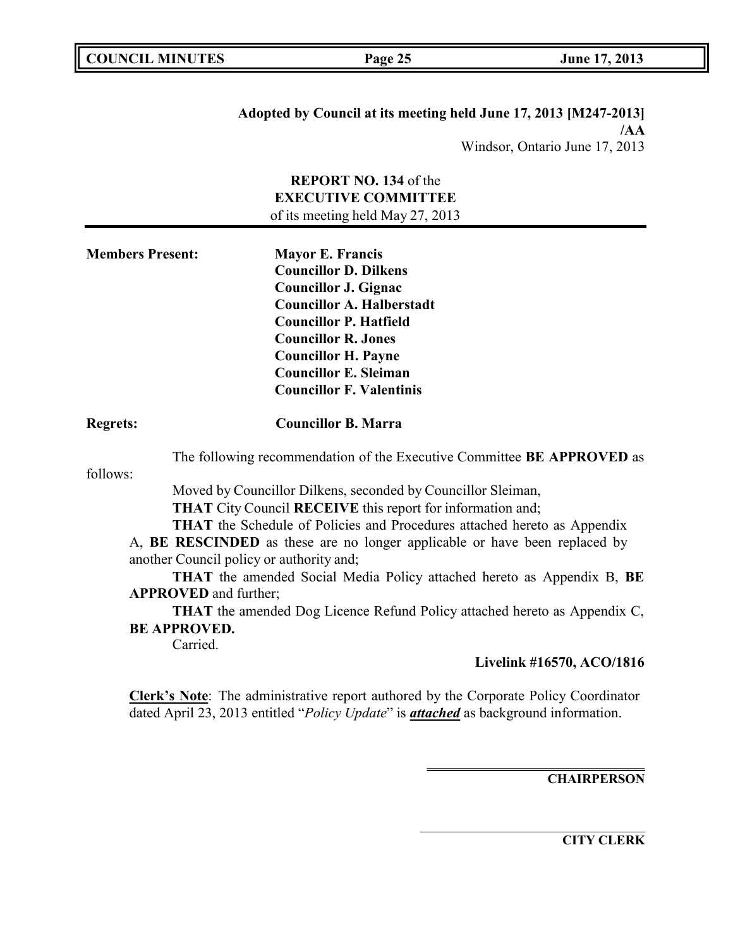| Adopted by Council at its meeting held June 17, 2013 [M247-2013] |
|------------------------------------------------------------------|
| /AA                                                              |
| Windsor, Ontario June 17, 2013                                   |

# **REPORT NO. 134** of the **EXECUTIVE COMMITTEE** of its meeting held May 27, 2013

| <b>Members Present:</b> | <b>Mayor E. Francis</b><br><b>Councillor D. Dilkens</b><br><b>Councillor J. Gignac</b><br><b>Councillor A. Halberstadt</b><br><b>Councillor P. Hatfield</b> |  |
|-------------------------|-------------------------------------------------------------------------------------------------------------------------------------------------------------|--|
|                         | <b>Councillor R. Jones</b><br><b>Councillor H. Payne</b>                                                                                                    |  |
|                         | <b>Councillor E. Sleiman</b><br><b>Councillor F. Valentinis</b>                                                                                             |  |
| <b>Regrets:</b>         | <b>Councillor B. Marra</b>                                                                                                                                  |  |

The following recommendation of the Executive Committee **BE APPROVED** as

follows:

Moved by Councillor Dilkens, seconded by Councillor Sleiman, **THAT** City Council **RECEIVE** this report for information and;

**THAT** the Schedule of Policies and Procedures attached hereto as Appendix

A, **BE RESCINDED** as these are no longer applicable or have been replaced by another Council policy or authority and;

**THAT** the amended Social Media Policy attached hereto as Appendix B, **BE APPROVED** and further;

**THAT** the amended Dog Licence Refund Policy attached hereto as Appendix C, **BE APPROVED.**

Carried.

**Livelink #16570, ACO/1816**

**Clerk's Note**: The administrative report authored by the Corporate Policy Coordinator dated April 23, 2013 entitled "*Policy Update*" is *attached* as background information.

**CHAIRPERSON**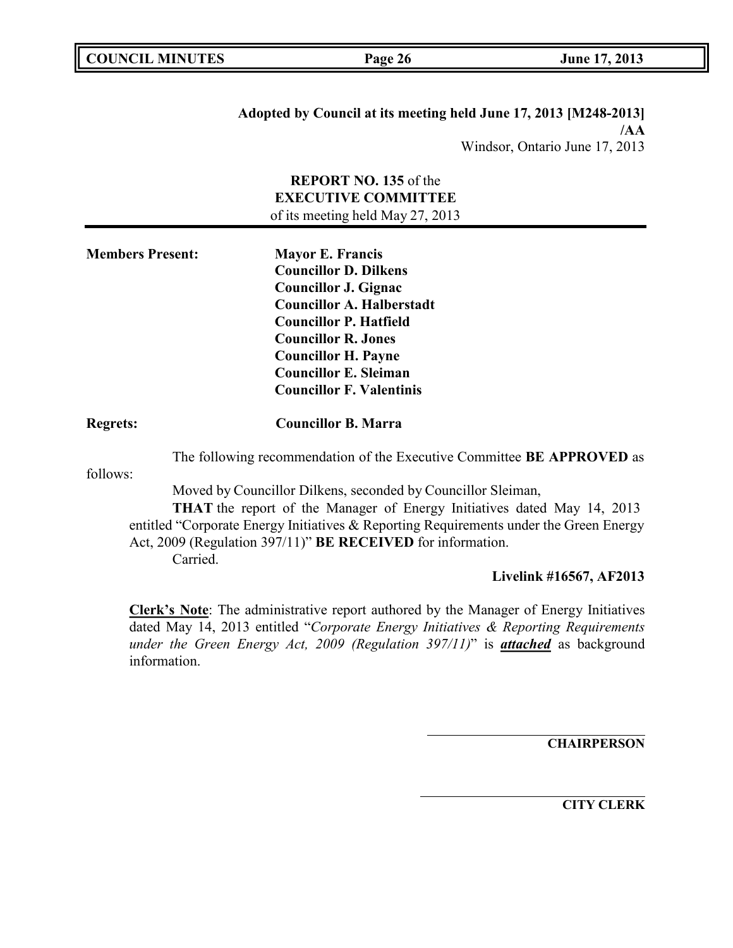**Adopted by Council at its meeting held June 17, 2013 [M248-2013] /AA** Windsor, Ontario June 17, 2013

# **REPORT NO. 135** of the **EXECUTIVE COMMITTEE** of its meeting held May 27, 2013

| <b>Members Present:</b> | <b>Mayor E. Francis</b>          |
|-------------------------|----------------------------------|
|                         | <b>Councillor D. Dilkens</b>     |
|                         | Councillor J. Gignac             |
|                         | <b>Councillor A. Halberstadt</b> |
|                         | <b>Councillor P. Hatfield</b>    |
|                         | <b>Councillor R. Jones</b>       |
|                         | <b>Councillor H. Payne</b>       |
|                         | <b>Councillor E. Sleiman</b>     |
|                         | <b>Councillor F. Valentinis</b>  |
|                         |                                  |

### **Regrets: Councillor B. Marra**

The following recommendation of the Executive Committee **BE APPROVED** as

follows:

Moved by Councillor Dilkens, seconded by Councillor Sleiman,

**THAT** the report of the Manager of Energy Initiatives dated May 14, 2013 entitled "Corporate Energy Initiatives & Reporting Requirements under the Green Energy Act, 2009 (Regulation 397/11)" **BE RECEIVED** for information. Carried.

### **Livelink #16567, AF2013**

**Clerk's Note**: The administrative report authored by the Manager of Energy Initiatives dated May 14, 2013 entitled "*Corporate Energy Initiatives & Reporting Requirements under the Green Energy Act, 2009 (Regulation 397/11)*" is *attached* as background information.

**CHAIRPERSON**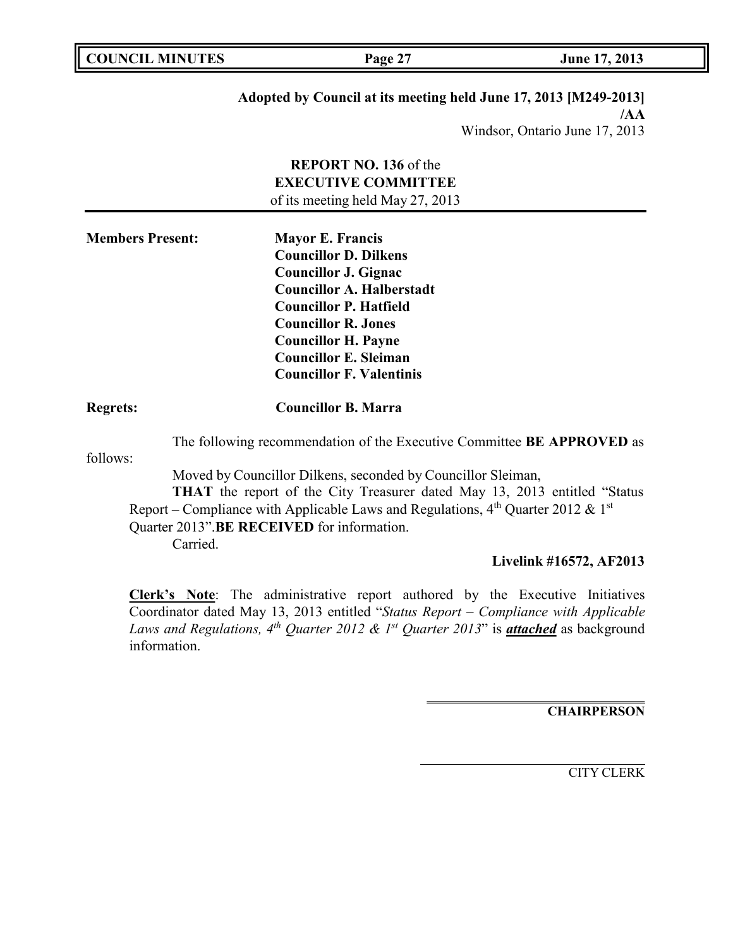| <b>COUNCIL MINUTES</b> |  |
|------------------------|--|
|                        |  |

**COUNCIL MINUTES Page 27 June 17, 2013**

# **Adopted by Council at its meeting held June 17, 2013 [M249-2013]**

**/AA** Windsor, Ontario June 17, 2013

|                         |                                                                                                                                           | <b>REPORT NO. 136 of the</b>                                                                                                                                       |
|-------------------------|-------------------------------------------------------------------------------------------------------------------------------------------|--------------------------------------------------------------------------------------------------------------------------------------------------------------------|
|                         |                                                                                                                                           | <b>EXECUTIVE COMMITTEE</b>                                                                                                                                         |
|                         |                                                                                                                                           | of its meeting held May 27, 2013                                                                                                                                   |
| <b>Members Present:</b> |                                                                                                                                           | <b>Mayor E. Francis</b>                                                                                                                                            |
|                         |                                                                                                                                           | <b>Councillor D. Dilkens</b>                                                                                                                                       |
|                         |                                                                                                                                           | <b>Councillor J. Gignac</b>                                                                                                                                        |
|                         |                                                                                                                                           | <b>Councillor A. Halberstadt</b>                                                                                                                                   |
|                         |                                                                                                                                           | <b>Councillor P. Hatfield</b>                                                                                                                                      |
|                         |                                                                                                                                           | <b>Councillor R. Jones</b>                                                                                                                                         |
|                         |                                                                                                                                           | <b>Councillor H. Payne</b>                                                                                                                                         |
|                         |                                                                                                                                           | <b>Councillor E. Sleiman</b>                                                                                                                                       |
|                         |                                                                                                                                           | <b>Councillor F. Valentinis</b>                                                                                                                                    |
| <b>Regrets:</b>         |                                                                                                                                           | <b>Councillor B. Marra</b>                                                                                                                                         |
| follows:                |                                                                                                                                           | The following recommendation of the Executive Committee BE APPROVED as                                                                                             |
|                         | Moved by Councillor Dilkens, seconded by Councillor Sleiman,<br>THAT the report of the City Treasurer dated May 13, 2013 entitled "Status |                                                                                                                                                                    |
|                         |                                                                                                                                           | Report – Compliance with Applicable Laws and Regulations, $4^{th}$ Quarter 2012 & 1st<br>Quarter 2013".BE RECEIVED for information.                                |
|                         | Carried.                                                                                                                                  |                                                                                                                                                                    |
|                         |                                                                                                                                           | $\mathbf{I}$ , $\mathbf{I}$ , $\mathbf{I}$ , $\mathbf{I}$ , $\mathbf{I}$ , $\mathbf{I}$ , $\mathbf{I}$ , $\mathbf{I}$ , $\mathbf{I}$ , $\mathbf{I}$ , $\mathbf{I}$ |

## **Livelink #16572, AF2013**

**Clerk's Note**: The administrative report authored by the Executive Initiatives Coordinator dated May 13, 2013 entitled "*Status Report – Compliance with Applicable Laws and Regulations, 4th Quarter 2012 & 1st Quarter 2013*" is *attached* as background information.

**CHAIRPERSON**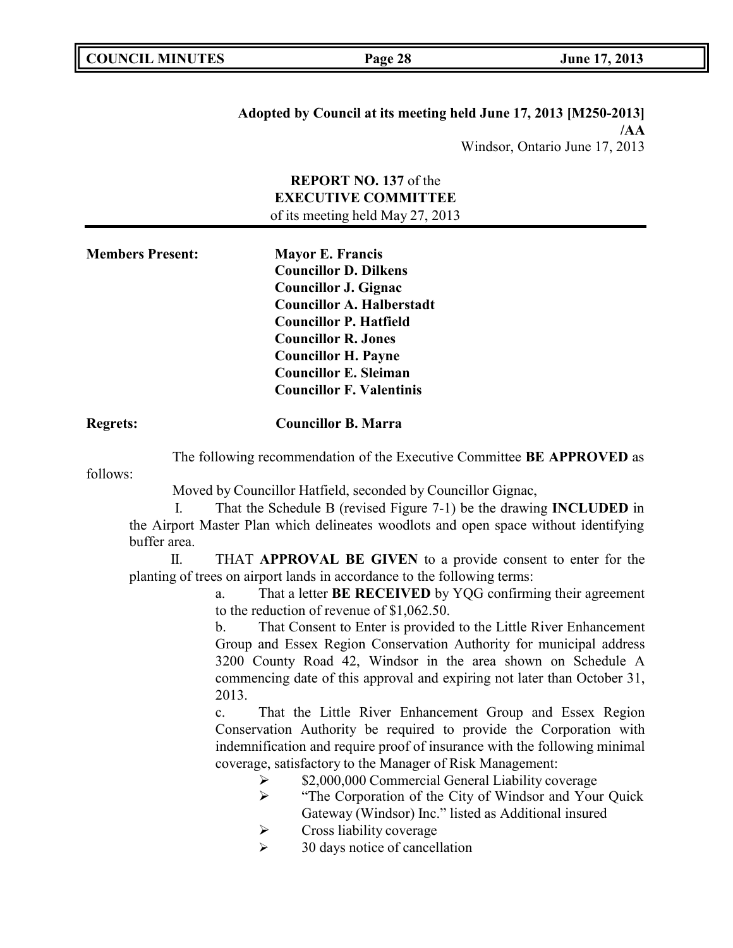## **Adopted by Council at its meeting held June 17, 2013 [M250-2013] /AA** Windsor, Ontario June 17, 2013

# **REPORT NO. 137** of the **EXECUTIVE COMMITTEE** of its meeting held May 27, 2013

| <b>Members Present:</b> | <b>Mayor E. Francis</b>          |
|-------------------------|----------------------------------|
|                         | <b>Councillor D. Dilkens</b>     |
|                         | <b>Councillor J. Gignac</b>      |
|                         | <b>Councillor A. Halberstadt</b> |
|                         | <b>Councillor P. Hatfield</b>    |
|                         | <b>Councillor R. Jones</b>       |
|                         | <b>Councillor H. Payne</b>       |
|                         | <b>Councillor E. Sleiman</b>     |
|                         | <b>Councillor F. Valentinis</b>  |
|                         |                                  |

## **Regrets: Councillor B. Marra**

The following recommendation of the Executive Committee **BE APPROVED** as

follows:

Moved by Councillor Hatfield, seconded by Councillor Gignac,

I. That the Schedule B (revised Figure 7-1) be the drawing **INCLUDED** in the Airport Master Plan which delineates woodlots and open space without identifying buffer area.

II. THAT **APPROVAL BE GIVEN** to a provide consent to enter for the planting of trees on airport lands in accordance to the following terms:

> a. That a letter **BE RECEIVED** by YQG confirming their agreement to the reduction of revenue of \$1,062.50.

> b. That Consent to Enter is provided to the Little River Enhancement Group and Essex Region Conservation Authority for municipal address 3200 County Road 42, Windsor in the area shown on Schedule A commencing date of this approval and expiring not later than October 31, 2013.

> c. That the Little River Enhancement Group and Essex Region Conservation Authority be required to provide the Corporation with indemnification and require proof of insurance with the following minimal coverage, satisfactory to the Manager of Risk Management:

> > $\geq$  \$2,000,000 Commercial General Liability coverage

- > "The Corporation of the City of Windsor and Your Quick" Gateway (Windsor) Inc." listed as Additional insured
- $\triangleright$  Cross liability coverage
- $\geq$  30 days notice of cancellation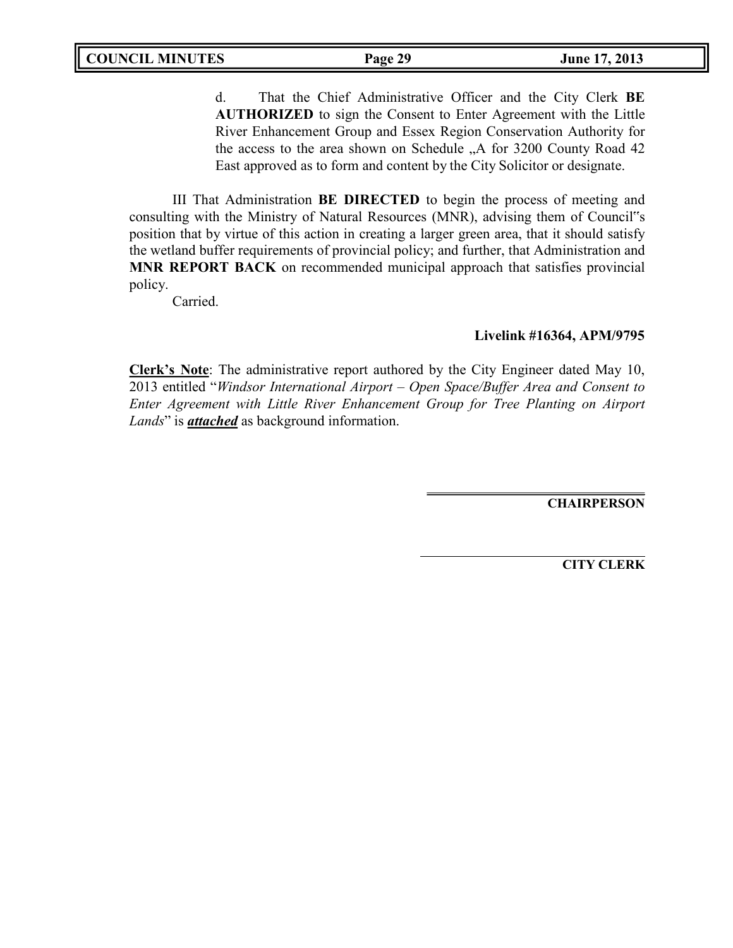d. That the Chief Administrative Officer and the City Clerk **BE AUTHORIZED** to sign the Consent to Enter Agreement with the Little River Enhancement Group and Essex Region Conservation Authority for the access to the area shown on Schedule "A for 3200 County Road 42 East approved as to form and content by the City Solicitor or designate.

III That Administration **BE DIRECTED** to begin the process of meeting and consulting with the Ministry of Natural Resources (MNR), advising them of Council"s position that by virtue of this action in creating a larger green area, that it should satisfy the wetland buffer requirements of provincial policy; and further, that Administration and **MNR REPORT BACK** on recommended municipal approach that satisfies provincial policy.

Carried.

### **Livelink #16364, APM/9795**

**Clerk's Note**: The administrative report authored by the City Engineer dated May 10, 2013 entitled "*Windsor International Airport – Open Space/Buffer Area and Consent to Enter Agreement with Little River Enhancement Group for Tree Planting on Airport Lands*" is *attached* as background information.

**CHAIRPERSON**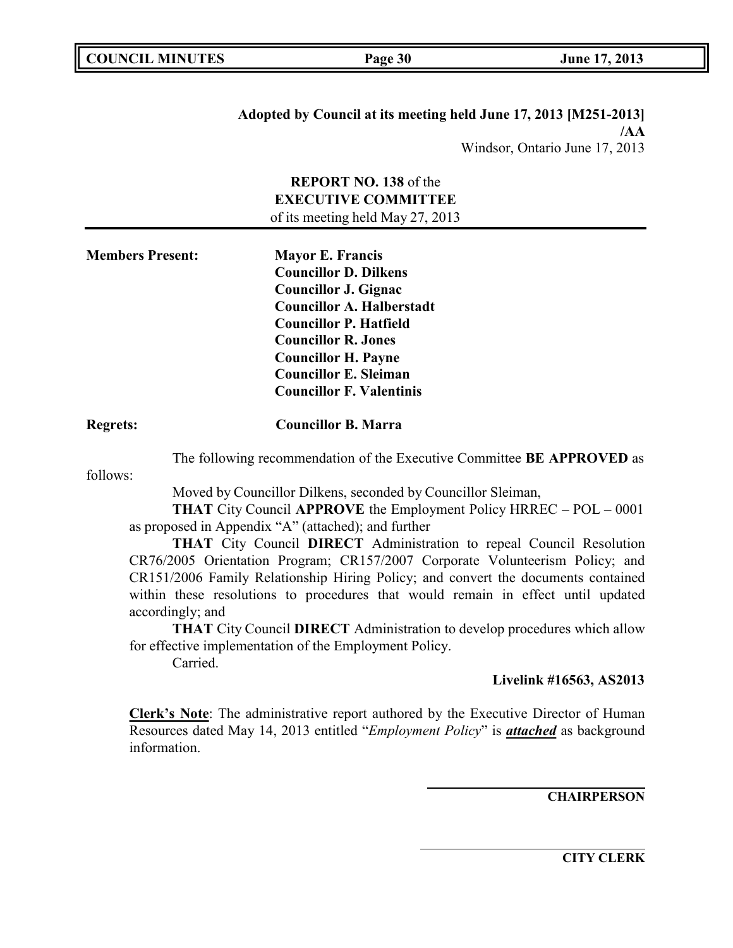**Adopted by Council at its meeting held June 17, 2013 [M251-2013] /AA** Windsor, Ontario June 17, 2013

**REPORT NO. 138** of the **EXECUTIVE COMMITTEE** of its meeting held May 27, 2013

| <b>Members Present:</b> | <b>Mayor E. Francis</b>          |
|-------------------------|----------------------------------|
|                         | <b>Councillor D. Dilkens</b>     |
|                         | <b>Councillor J. Gignac</b>      |
|                         | <b>Councillor A. Halberstadt</b> |
|                         | <b>Councillor P. Hatfield</b>    |
|                         | <b>Councillor R. Jones</b>       |
|                         | <b>Councillor H. Payne</b>       |
|                         | <b>Councillor E. Sleiman</b>     |
|                         | <b>Councillor F. Valentinis</b>  |
|                         |                                  |

## **Regrets: Councillor B. Marra**

The following recommendation of the Executive Committee **BE APPROVED** as

follows:

Moved by Councillor Dilkens, seconded by Councillor Sleiman,

**THAT** City Council **APPROVE** the Employment Policy HRREC – POL – 0001 as proposed in Appendix "A" (attached); and further

**THAT** City Council **DIRECT** Administration to repeal Council Resolution CR76/2005 Orientation Program; CR157/2007 Corporate Volunteerism Policy; and CR151/2006 Family Relationship Hiring Policy; and convert the documents contained within these resolutions to procedures that would remain in effect until updated accordingly; and

**THAT** City Council **DIRECT** Administration to develop procedures which allow for effective implementation of the Employment Policy.

Carried.

### **Livelink #16563, AS2013**

**Clerk's Note**: The administrative report authored by the Executive Director of Human Resources dated May 14, 2013 entitled "*Employment Policy*" is *attached* as background information.

**CHAIRPERSON**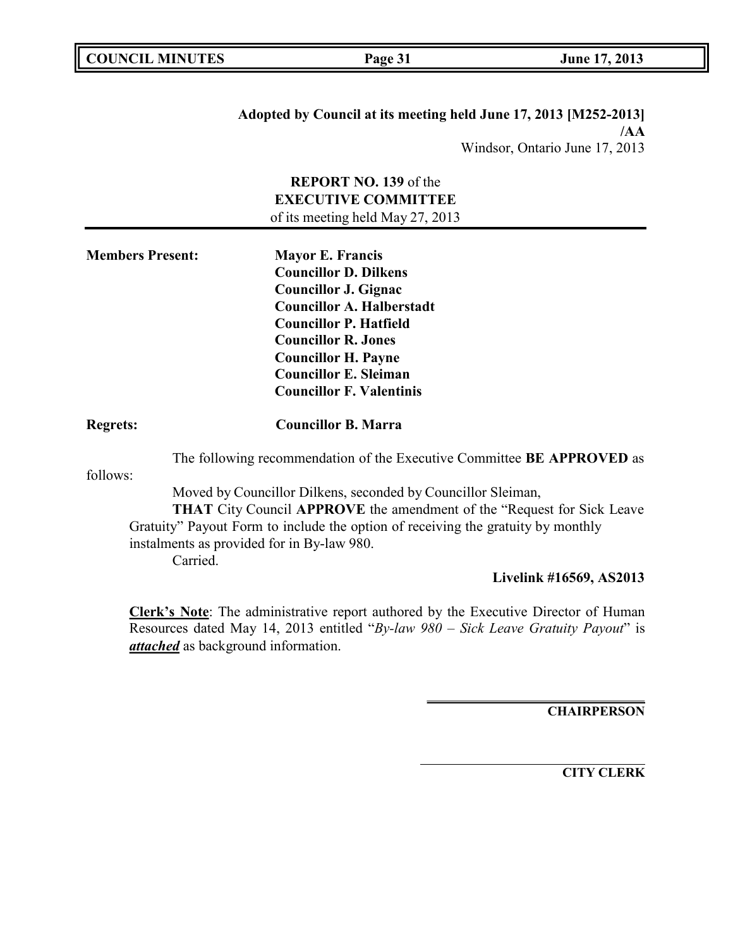**Adopted by Council at its meeting held June 17, 2013 [M252-2013] /AA** Windsor, Ontario June 17, 2013

**REPORT NO. 139** of the **EXECUTIVE COMMITTEE** of its meeting held May 27, 2013

| <b>Members Present:</b> | <b>Mayor E. Francis</b>          |
|-------------------------|----------------------------------|
|                         | <b>Councillor D. Dilkens</b>     |
|                         | <b>Councillor J. Gignac</b>      |
|                         | <b>Councillor A. Halberstadt</b> |
|                         | <b>Councillor P. Hatfield</b>    |
|                         | <b>Councillor R. Jones</b>       |
|                         | <b>Councillor H. Payne</b>       |
|                         | <b>Councillor E. Sleiman</b>     |
|                         | <b>Councillor F. Valentinis</b>  |
|                         |                                  |

### **Regrets: Councillor B. Marra**

The following recommendation of the Executive Committee **BE APPROVED** as

follows:

Moved by Councillor Dilkens, seconded by Councillor Sleiman, **THAT** City Council **APPROVE** the amendment of the "Request for Sick Leave Gratuity" Payout Form to include the option of receiving the gratuity by monthly instalments as provided for in By-law 980. Carried.

### **Livelink #16569, AS2013**

**Clerk's Note**: The administrative report authored by the Executive Director of Human Resources dated May 14, 2013 entitled "*By-law 980 – Sick Leave Gratuity Payout*" is *attached* as background information.

**CHAIRPERSON**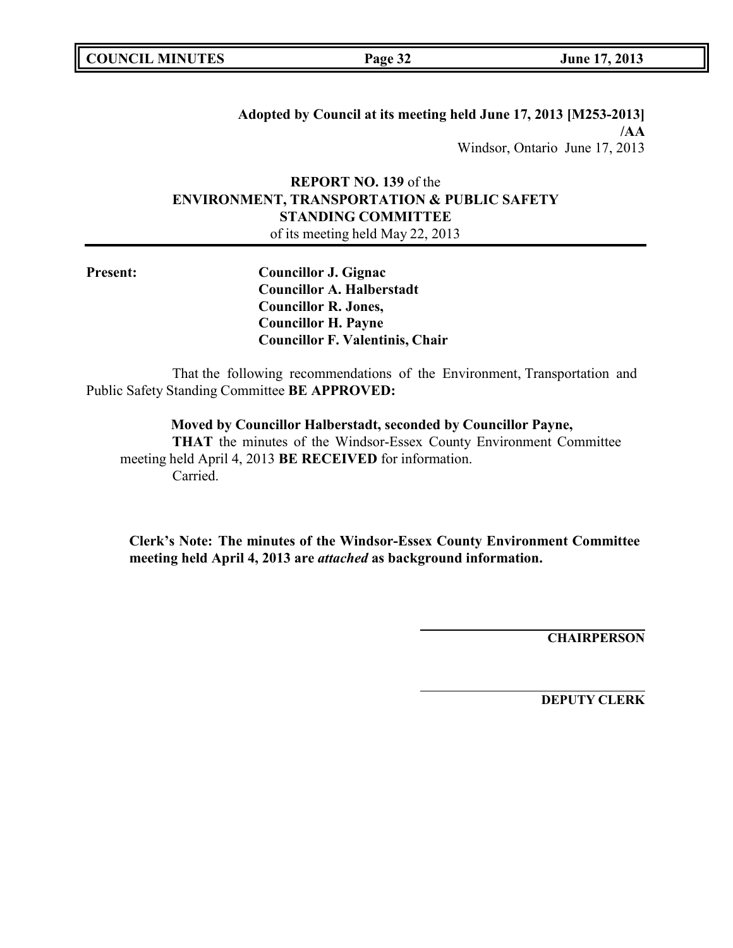|  | <b>COUNCIL MINUTES</b> |
|--|------------------------|
|--|------------------------|

**Adopted by Council at its meeting held June 17, 2013 [M253-2013] /AA** Windsor, Ontario June 17, 2013

# **REPORT NO. 139** of the **ENVIRONMENT, TRANSPORTATION & PUBLIC SAFETY STANDING COMMITTEE**

of its meeting held May 22, 2013

**Present: Councillor J. Gignac Councillor A. Halberstadt Councillor R. Jones, Councillor H. Payne Councillor F. Valentinis, Chair**

That the following recommendations of the Environment, Transportation and Public Safety Standing Committee **BE APPROVED:**

**Moved by Councillor Halberstadt, seconded by Councillor Payne,**

**THAT** the minutes of the Windsor-Essex County Environment Committee meeting held April 4, 2013 **BE RECEIVED** for information. Carried.

**Clerk's Note: The minutes of the Windsor-Essex County Environment Committee meeting held April 4, 2013 are** *attached* **as background information.**

**CHAIRPERSON**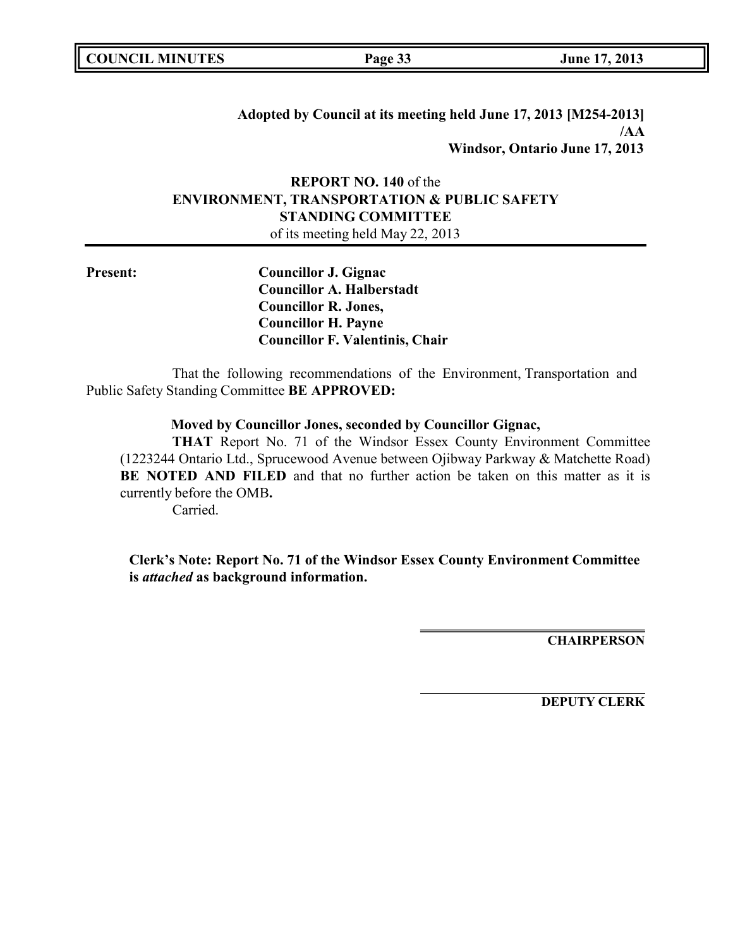|  | <b>COUNCIL MINUTES</b> |
|--|------------------------|
|--|------------------------|

**Adopted by Council at its meeting held June 17, 2013 [M254-2013] /AA Windsor, Ontario June 17, 2013**

# **REPORT NO. 140** of the **ENVIRONMENT, TRANSPORTATION & PUBLIC SAFETY STANDING COMMITTEE**

of its meeting held May 22, 2013

**Present: Councillor J. Gignac Councillor A. Halberstadt Councillor R. Jones, Councillor H. Payne Councillor F. Valentinis, Chair**

That the following recommendations of the Environment, Transportation and Public Safety Standing Committee **BE APPROVED:**

### **Moved by Councillor Jones, seconded by Councillor Gignac,**

**THAT** Report No. 71 of the Windsor Essex County Environment Committee (1223244 Ontario Ltd., Sprucewood Avenue between Ojibway Parkway & Matchette Road) **BE NOTED AND FILED** and that no further action be taken on this matter as it is currently before the OMB**.**

Carried.

**Clerk's Note: Report No. 71 of the Windsor Essex County Environment Committee is** *attached* **as background information.**

**CHAIRPERSON**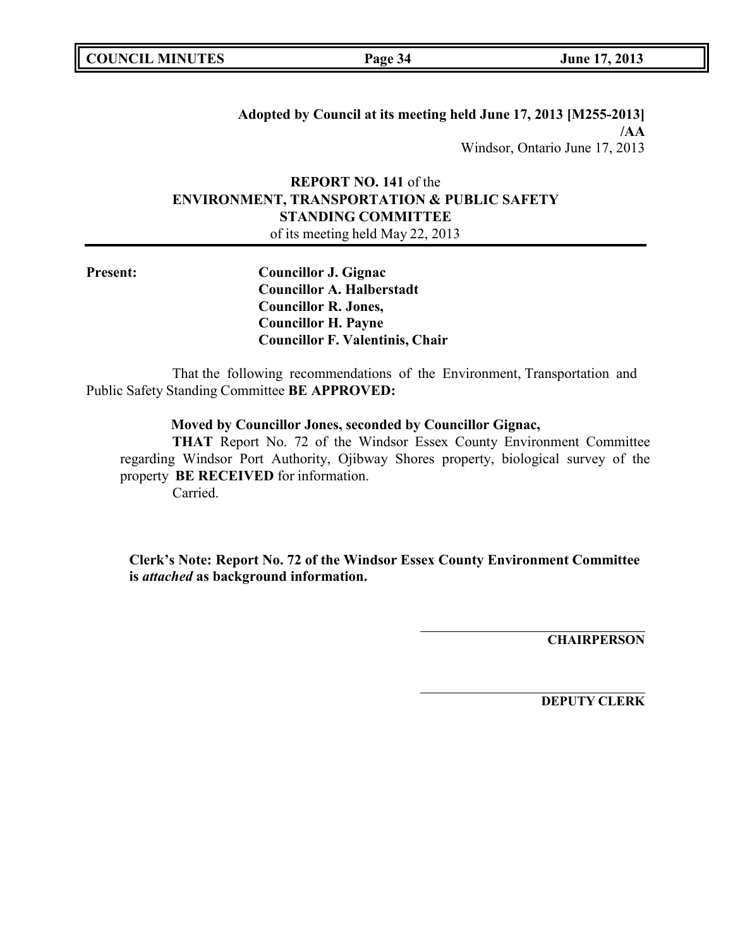|  | <b>COUNCIL MINUTES</b> |
|--|------------------------|
|--|------------------------|

**Adopted by Council at its meeting held June 17, 2013 [M255-2013] /AA** Windsor, Ontario June 17, 2013

# **REPORT NO. 141** of the **ENVIRONMENT, TRANSPORTATION & PUBLIC SAFETY STANDING COMMITTEE**

of its meeting held May 22, 2013

**Present: Councillor J. Gignac Councillor A. Halberstadt Councillor R. Jones, Councillor H. Payne Councillor F. Valentinis, Chair**

That the following recommendations of the Environment, Transportation and Public Safety Standing Committee **BE APPROVED:**

### **Moved by Councillor Jones, seconded by Councillor Gignac,**

**THAT** Report No. 72 of the Windsor Essex County Environment Committee regarding Windsor Port Authority, Ojibway Shores property, biological survey of the property **BE RECEIVED** for information. Carried.

**Clerk's Note: Report No. 72 of the Windsor Essex County Environment Committee is** *attached* **as background information.**

**CHAIRPERSON**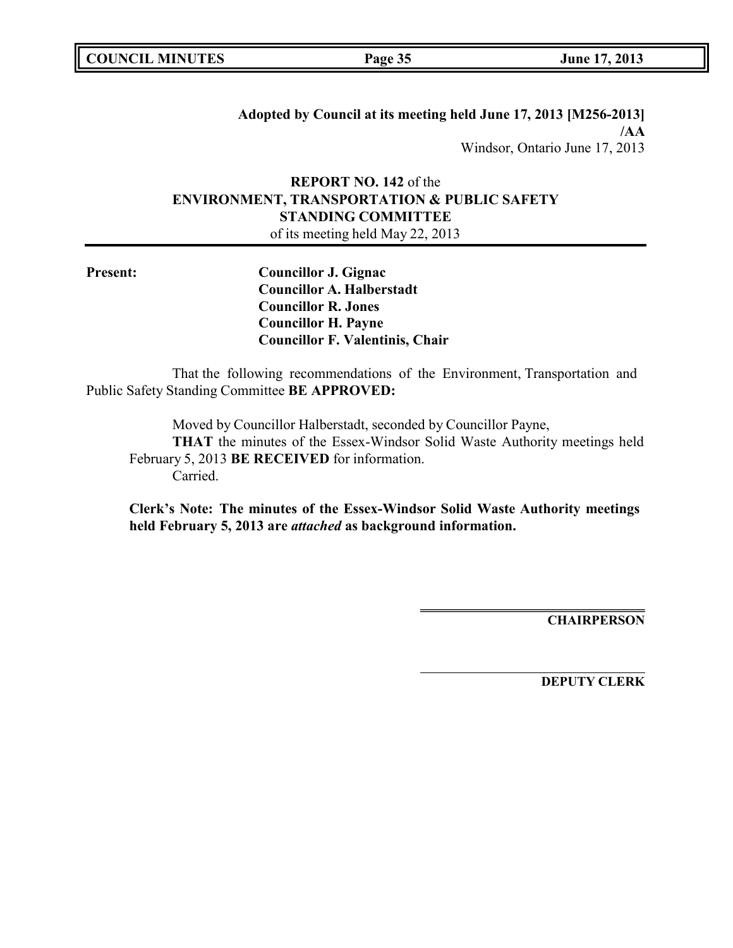|  | <b>COUNCIL MINUTES</b> |
|--|------------------------|
|--|------------------------|

**Adopted by Council at its meeting held June 17, 2013 [M256-2013] /AA** Windsor, Ontario June 17, 2013

# **REPORT NO. 142** of the **ENVIRONMENT, TRANSPORTATION & PUBLIC SAFETY STANDING COMMITTEE**

of its meeting held May 22, 2013

**Present: Councillor J. Gignac Councillor A. Halberstadt Councillor R. Jones Councillor H. Payne Councillor F. Valentinis, Chair**

That the following recommendations of the Environment, Transportation and Public Safety Standing Committee **BE APPROVED:**

Moved by Councillor Halberstadt, seconded by Councillor Payne, **THAT** the minutes of the Essex-Windsor Solid Waste Authority meetings held February 5, 2013 **BE RECEIVED** for information. Carried.

**Clerk's Note: The minutes of the Essex-Windsor Solid Waste Authority meetings held February 5, 2013 are** *attached* **as background information.**

**CHAIRPERSON**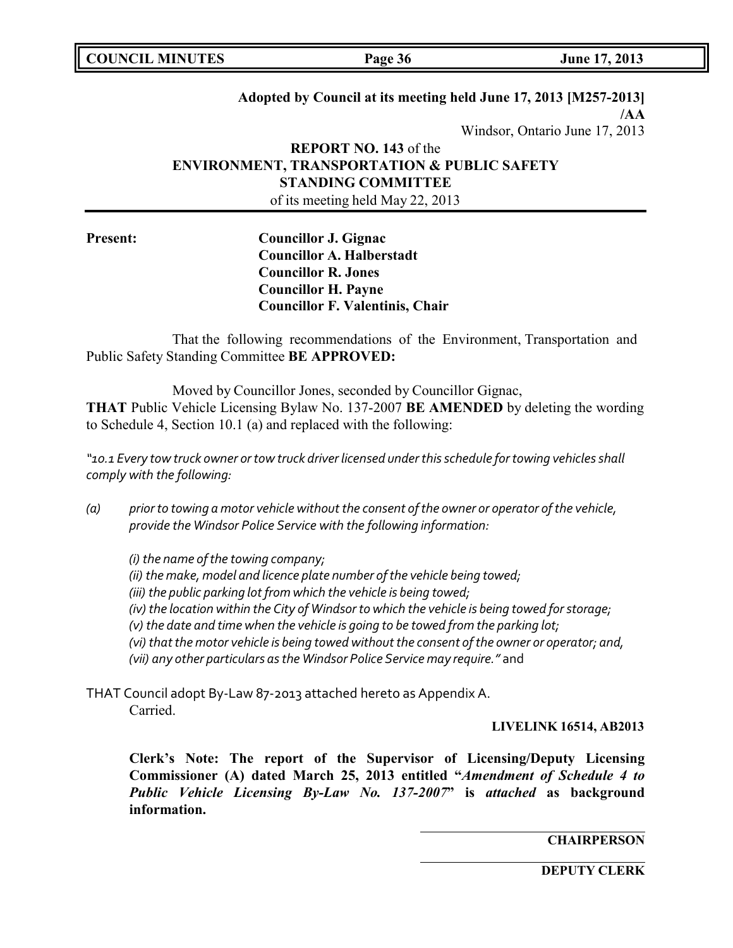# **Adopted by Council at its meeting held June 17, 2013 [M257-2013] /AA**

Windsor, Ontario June 17, 2013

# **REPORT NO. 143** of the **ENVIRONMENT, TRANSPORTATION & PUBLIC SAFETY STANDING COMMITTEE** of its meeting held May 22, 2013

**Present: Councillor J. Gignac Councillor A. Halberstadt Councillor R. Jones Councillor H. Payne Councillor F. Valentinis, Chair**

That the following recommendations of the Environment, Transportation and Public Safety Standing Committee **BE APPROVED:**

Moved by Councillor Jones, seconded by Councillor Gignac, **THAT** Public Vehicle Licensing Bylaw No. 137-2007 **BE AMENDED** by deleting the wording to Schedule 4, Section 10.1 (a) and replaced with the following:

*"10.1 Every tow truck owner ortow truck driver licensed underthisschedule fortowing vehiclesshall comply with the following:*

*(a) prior to towing a motor vehicle withoutthe consent ofthe owner or operator ofthe vehicle, provide the Windsor Police Service with the following information:*

*(i) the name ofthe towing company; (ii) the make, model and licence plate number ofthe vehicle being towed; (iii) the public parking lotfromwhich the vehicle is being towed; (iv) the location within the City of Windsor to which the vehicle is being towed forstorage; (v) the date and time when the vehicle is going to be towed from the parking lot; (vi) thatthe motor vehicle is being towed withoutthe consent ofthe owner or operator; and, (vii) any other particulars asthe Windsor Police Service may require."* and

THAT Council adopt By-Law 87-2013 attached hereto as Appendix A. Carried.

**LIVELINK 16514, AB2013**

**Clerk's Note: The report of the Supervisor of Licensing/Deputy Licensing Commissioner (A) dated March 25, 2013 entitled "***Amendment of Schedule 4 to Public Vehicle Licensing By-Law No. 137-2007***" is** *attached* **as background information.**

**CHAIRPERSON**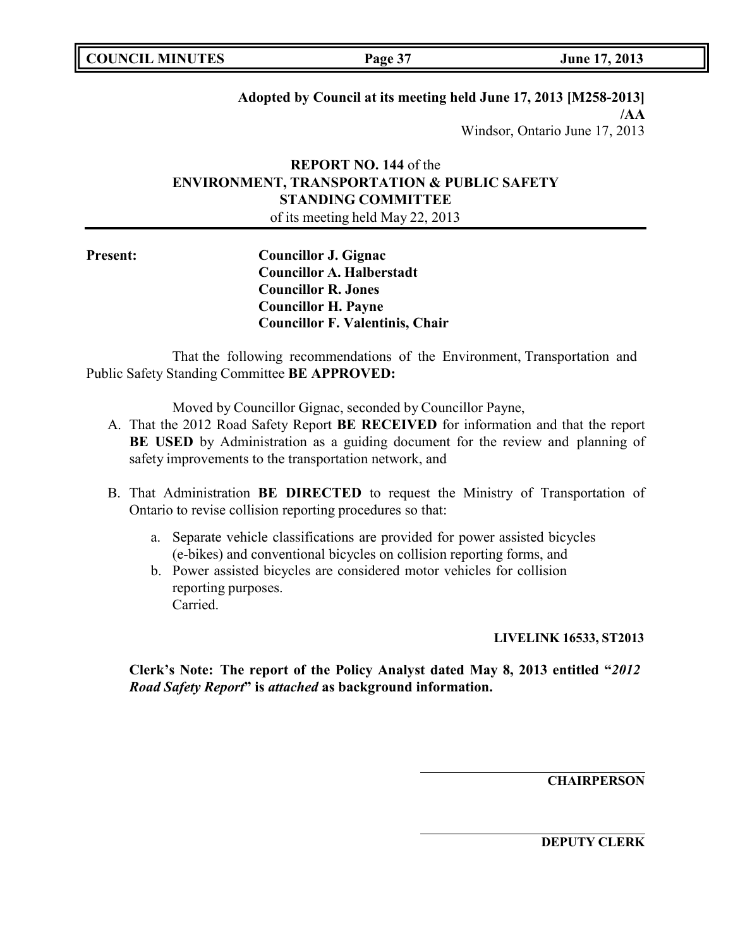**COUNCIL EXECUTE: COUNCIL EXECUTE: Page 37 June** 17, 2013

# **Adopted by Council at its meeting held June 17, 2013 [M258-2013]**

**/AA** Windsor, Ontario June 17, 2013

# **REPORT NO. 144** of the **ENVIRONMENT, TRANSPORTATION & PUBLIC SAFETY STANDING COMMITTEE**

of its meeting held May 22, 2013

**Present: Councillor J. Gignac Councillor A. Halberstadt Councillor R. Jones Councillor H. Payne Councillor F. Valentinis, Chair**

That the following recommendations of the Environment, Transportation and Public Safety Standing Committee **BE APPROVED:**

Moved by Councillor Gignac, seconded by Councillor Payne,

- A. That the 2012 Road Safety Report **BE RECEIVED** for information and that the report **BE USED** by Administration as a guiding document for the review and planning of safety improvements to the transportation network, and
- B. That Administration **BE DIRECTED** to request the Ministry of Transportation of Ontario to revise collision reporting procedures so that:
	- a. Separate vehicle classifications are provided for power assisted bicycles (e-bikes) and conventional bicycles on collision reporting forms, and
	- b. Power assisted bicycles are considered motor vehicles for collision reporting purposes. Carried.

**LIVELINK 16533, ST2013**

**Clerk's Note: The report of the Policy Analyst dated May 8, 2013 entitled "***2012 Road Safety Report***" is** *attached* **as background information.**

**CHAIRPERSON**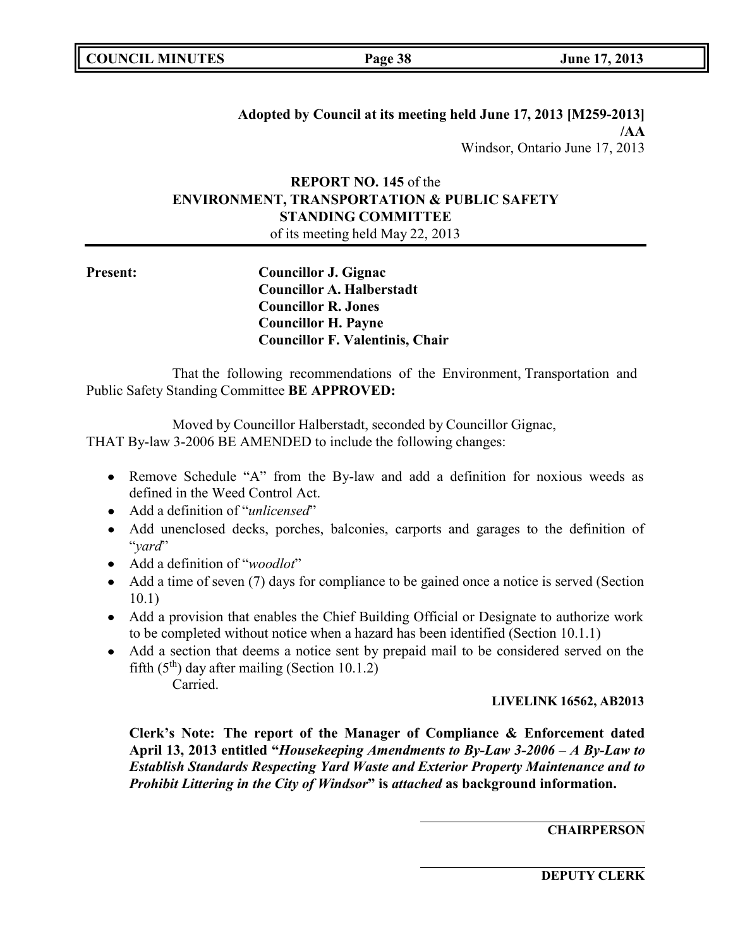| <b>COUNCIL MINUTES</b> |  |
|------------------------|--|
|------------------------|--|

**Adopted by Council at its meeting held June 17, 2013 [M259-2013] /AA** Windsor, Ontario June 17, 2013

# **REPORT NO. 145** of the **ENVIRONMENT, TRANSPORTATION & PUBLIC SAFETY STANDING COMMITTEE**

of its meeting held May 22, 2013

**Present: Councillor J. Gignac Councillor A. Halberstadt Councillor R. Jones Councillor H. Payne Councillor F. Valentinis, Chair**

That the following recommendations of the Environment, Transportation and Public Safety Standing Committee **BE APPROVED:**

Moved by Councillor Halberstadt, seconded by Councillor Gignac, THAT By-law 3-2006 BE AMENDED to include the following changes:

- Remove Schedule "A" from the By-law and add a definition for noxious weeds as defined in the Weed Control Act.
- Add a definition of "*unlicensed*"
- Add unenclosed decks, porches, balconies, carports and garages to the definition of "*yard*"
- Add a definition of "*woodlot*"
- Add a time of seven (7) days for compliance to be gained once a notice is served (Section 10.1)
- Add a provision that enables the Chief Building Official or Designate to authorize work to be completed without notice when a hazard has been identified (Section 10.1.1)
- Add a section that deems a notice sent by prepaid mail to be considered served on the fifth  $(5<sup>th</sup>)$  day after mailing (Section 10.1.2) Carried.

## **LIVELINK 16562, AB2013**

**Clerk's Note: The report of the Manager of Compliance & Enforcement dated April 13, 2013 entitled "***Housekeeping Amendments to By-Law 3-2006 – A By-Law to Establish Standards Respecting Yard Waste and Exterior Property Maintenance and to Prohibit Littering in the City of Windsor***" is** *attached* **as background information.**

**CHAIRPERSON**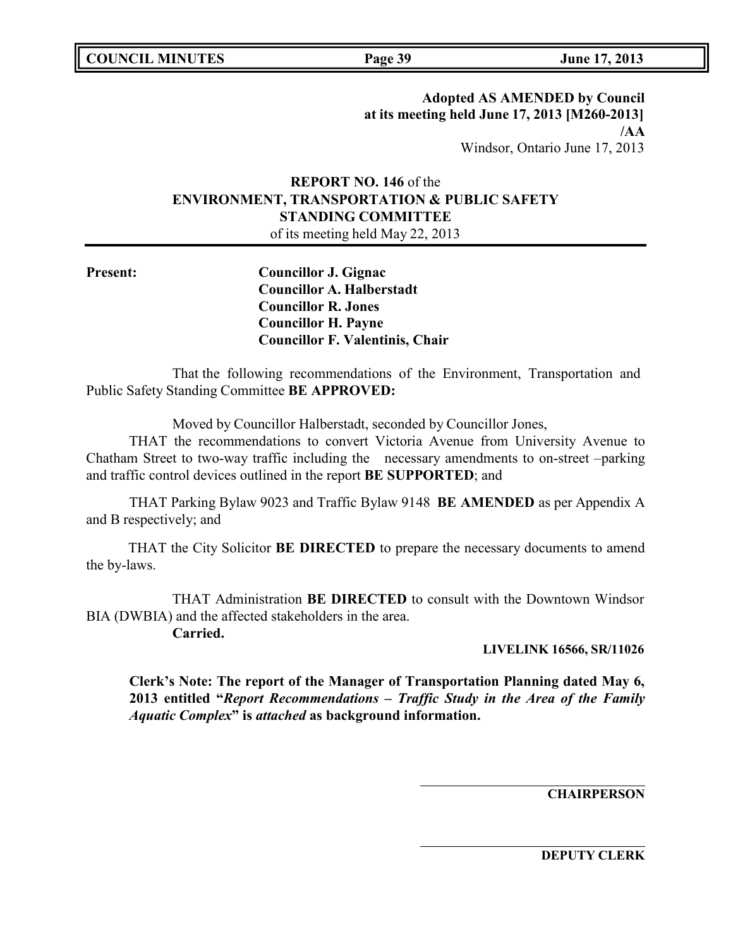**COUNCIL MINUTES Page 39 June 17, 2013**

# **Adopted AS AMENDED by Council at its meeting held June 17, 2013 [M260-2013] /AA**

Windsor, Ontario June 17, 2013

# **REPORT NO. 146** of the **ENVIRONMENT, TRANSPORTATION & PUBLIC SAFETY STANDING COMMITTEE**

of its meeting held May 22, 2013

**Present: Councillor J. Gignac Councillor A. Halberstadt Councillor R. Jones Councillor H. Payne Councillor F. Valentinis, Chair**

That the following recommendations of the Environment, Transportation and Public Safety Standing Committee **BE APPROVED:**

Moved by Councillor Halberstadt, seconded by Councillor Jones,

THAT the recommendations to convert Victoria Avenue from University Avenue to Chatham Street to two-way traffic including the necessary amendments to on-street –parking and traffic control devices outlined in the report **BE SUPPORTED**; and

THAT Parking Bylaw 9023 and Traffic Bylaw 9148 **BE AMENDED** as per Appendix A and B respectively; and

THAT the City Solicitor **BE DIRECTED** to prepare the necessary documents to amend the by-laws.

THAT Administration **BE DIRECTED** to consult with the Downtown Windsor BIA (DWBIA) and the affected stakeholders in the area.

**Carried.**

**LIVELINK 16566, SR/11026**

**Clerk's Note: The report of the Manager of Transportation Planning dated May 6, 2013 entitled "***Report Recommendations – Traffic Study in the Area of the Family Aquatic Complex***" is** *attached* **as background information.**

**CHAIRPERSON**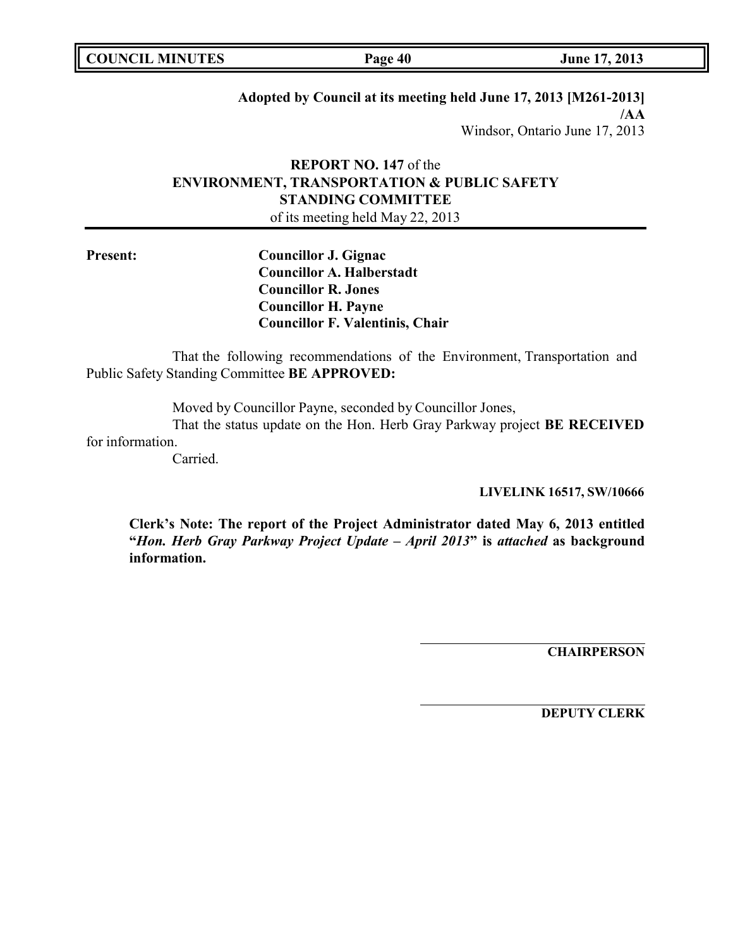**COUNCIL EXECUTE:** FOR **LIGATION COUNCIL COUNCIL COUNCIL COUNCIL COUNCIL COUNCIL COUNCIL COUNCIL COUNCIL** 

# **Adopted by Council at its meeting held June 17, 2013 [M261-2013]**

**/AA** Windsor, Ontario June 17, 2013

# **REPORT NO. 147** of the **ENVIRONMENT, TRANSPORTATION & PUBLIC SAFETY STANDING COMMITTEE**

of its meeting held May 22, 2013

**Present: Councillor J. Gignac Councillor A. Halberstadt Councillor R. Jones Councillor H. Payne Councillor F. Valentinis, Chair**

That the following recommendations of the Environment, Transportation and Public Safety Standing Committee **BE APPROVED:**

Moved by Councillor Payne, seconded by Councillor Jones,

That the status update on the Hon. Herb Gray Parkway project **BE RECEIVED** for information.

Carried.

**LIVELINK 16517, SW/10666**

**Clerk's Note: The report of the Project Administrator dated May 6, 2013 entitled "***Hon. Herb Gray Parkway Project Update – April 2013***" is** *attached* **as background information.**

**CHAIRPERSON**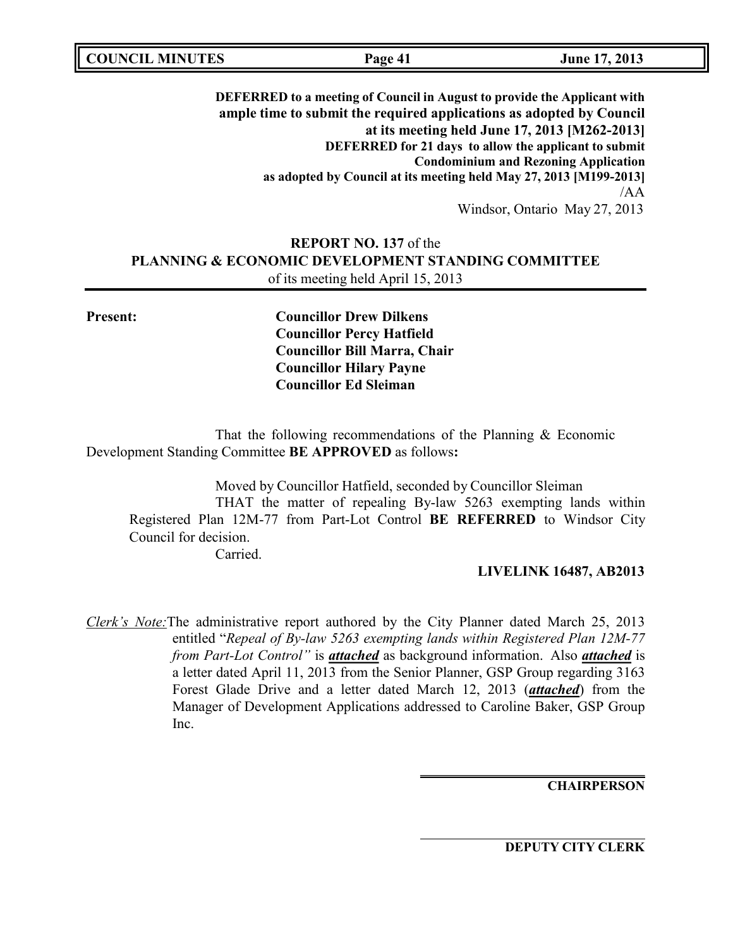**DEFERRED to a meeting of Council in August to provide the Applicant with ample time to submit the required applications as adopted by Council at its meeting held June 17, 2013 [M262-2013] DEFERRED for 21 days to allow the applicant to submit Condominium and Rezoning Application as adopted by Council at its meeting held May 27, 2013 [M199-2013]** /AA Windsor, Ontario May 27, 2013

# **REPORT NO. 137** of the **PLANNING & ECONOMIC DEVELOPMENT STANDING COMMITTEE** of its meeting held April 15, 2013

**Present: Councillor Drew Dilkens Councillor Percy Hatfield Councillor Bill Marra, Chair Councillor Hilary Payne Councillor Ed Sleiman**

That the following recommendations of the Planning & Economic Development Standing Committee **BE APPROVED** as follows**:**

Moved by Councillor Hatfield, seconded by Councillor Sleiman THAT the matter of repealing By-law 5263 exempting lands within Registered Plan 12M-77 from Part-Lot Control **BE REFERRED** to Windsor City Council for decision. Carried.

### **LIVELINK 16487, AB2013**

*Clerk's Note:*The administrative report authored by the City Planner dated March 25, 2013 entitled "*Repeal of By-law 5263 exempting lands within Registered Plan 12M-77 from Part-Lot Control"* is *attached* as background information. Also *attached* is a letter dated April 11, 2013 from the Senior Planner, GSP Group regarding 3163 Forest Glade Drive and a letter dated March 12, 2013 (*attached*) from the Manager of Development Applications addressed to Caroline Baker, GSP Group Inc.

**CHAIRPERSON**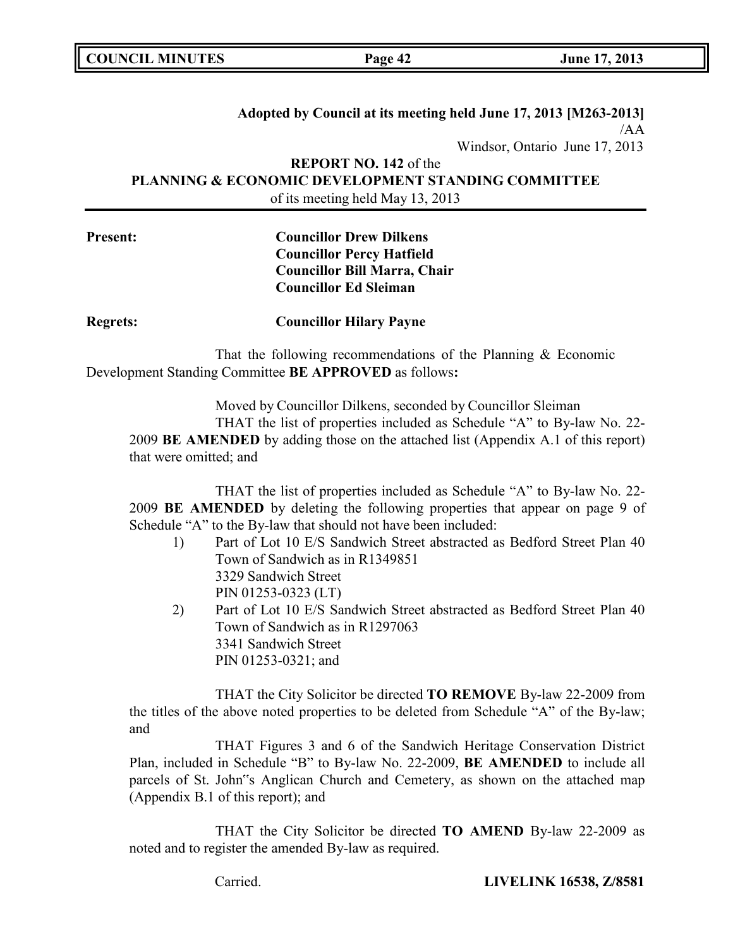**COUNCIL MINUTES Page 42 June 17, 2013**

# **Adopted by Council at its meeting held June 17, 2013 [M263-2013]**  $/AA$ Windsor, Ontario June 17, 2013 **REPORT NO. 142** of the

**PLANNING & ECONOMIC DEVELOPMENT STANDING COMMITTEE** of its meeting held May 13, 2013

# **Present: Councillor Drew Dilkens Councillor Percy Hatfield Councillor Bill Marra, Chair Councillor Ed Sleiman**

**Regrets: Councillor Hilary Payne**

That the following recommendations of the Planning & Economic Development Standing Committee **BE APPROVED** as follows**:**

Moved by Councillor Dilkens, seconded by Councillor Sleiman THAT the list of properties included as Schedule "A" to By-law No. 22- 2009 **BE AMENDED** by adding those on the attached list (Appendix A.1 of this report) that were omitted; and

THAT the list of properties included as Schedule "A" to By-law No. 22- 2009 **BE AMENDED** by deleting the following properties that appear on page 9 of Schedule "A" to the By-law that should not have been included:

- 1) Part of Lot 10 E/S Sandwich Street abstracted as Bedford Street Plan 40 Town of Sandwich as in R1349851 3329 Sandwich Street PIN 01253-0323 (LT)
- 2) Part of Lot 10 E/S Sandwich Street abstracted as Bedford Street Plan 40 Town of Sandwich as in R1297063 3341 Sandwich Street PIN 01253-0321; and

THAT the City Solicitor be directed **TO REMOVE** By-law 22-2009 from the titles of the above noted properties to be deleted from Schedule "A" of the By-law; and

THAT Figures 3 and 6 of the Sandwich Heritage Conservation District Plan, included in Schedule "B" to By-law No. 22-2009, **BE AMENDED** to include all parcels of St. John"s Anglican Church and Cemetery, as shown on the attached map (Appendix B.1 of this report); and

THAT the City Solicitor be directed **TO AMEND** By-law 22-2009 as noted and to register the amended By-law as required.

Carried. **LIVELINK 16538, Z/8581**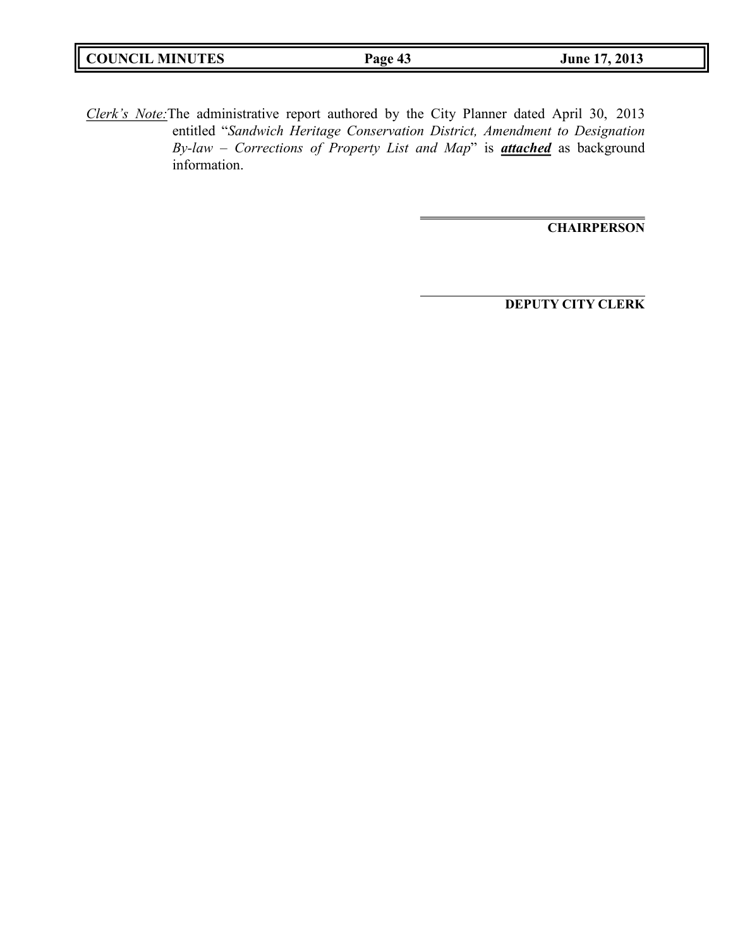|--|

*Clerk's Note:*The administrative report authored by the City Planner dated April 30, 2013 entitled "*Sandwich Heritage Conservation District, Amendment to Designation By-law – Corrections of Property List and Map*" is *attached* as background information.

**CHAIRPERSON**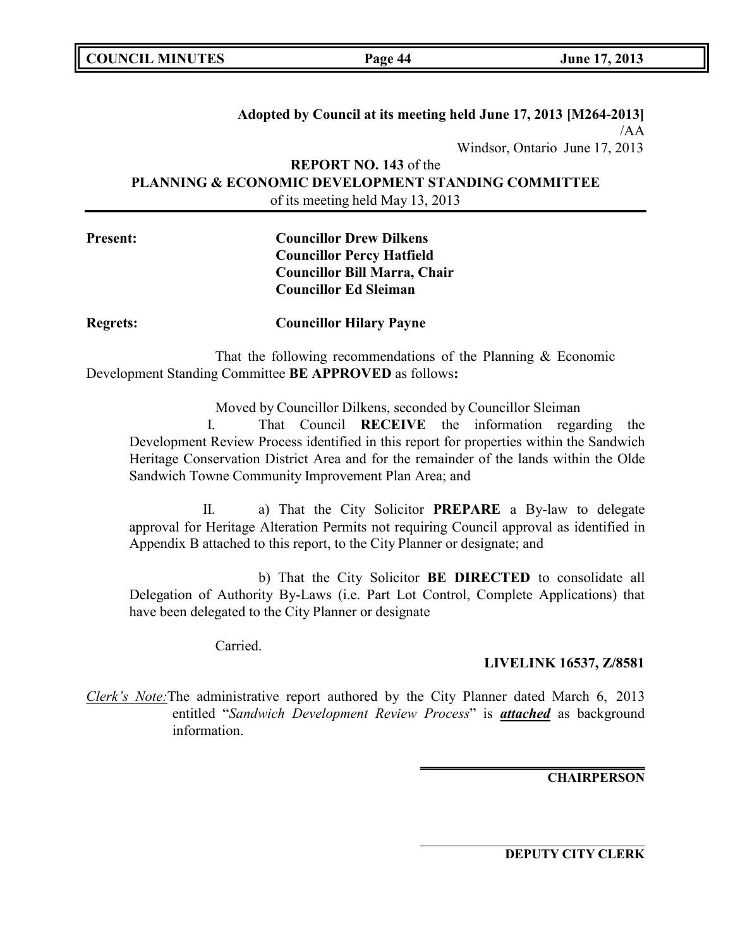**COUNCIL MINUTES Page 44 June 17, 2013**

# **Adopted by Council at its meeting held June 17, 2013 [M264-2013]** /AA Windsor, Ontario June 17, 2013 **REPORT NO. 143** of the

**PLANNING & ECONOMIC DEVELOPMENT STANDING COMMITTEE** of its meeting held May 13, 2013

# **Present: Councillor Drew Dilkens Councillor Percy Hatfield Councillor Bill Marra, Chair Councillor Ed Sleiman**

**Regrets: Councillor Hilary Payne**

That the following recommendations of the Planning & Economic Development Standing Committee **BE APPROVED** as follows**:**

> Moved by Councillor Dilkens, seconded by Councillor Sleiman I. That Council **RECEIVE** the information regarding the

Development Review Process identified in this report for properties within the Sandwich Heritage Conservation District Area and for the remainder of the lands within the Olde Sandwich Towne Community Improvement Plan Area; and

II. a) That the City Solicitor **PREPARE** a By-law to delegate approval for Heritage Alteration Permits not requiring Council approval as identified in Appendix B attached to this report, to the City Planner or designate; and

b) That the City Solicitor **BE DIRECTED** to consolidate all Delegation of Authority By-Laws (i.e. Part Lot Control, Complete Applications) that have been delegated to the City Planner or designate

Carried.

## **LIVELINK 16537, Z/8581**

*Clerk's Note:*The administrative report authored by the City Planner dated March 6, 2013 entitled "*Sandwich Development Review Process*" is *attached* as background information.

**CHAIRPERSON**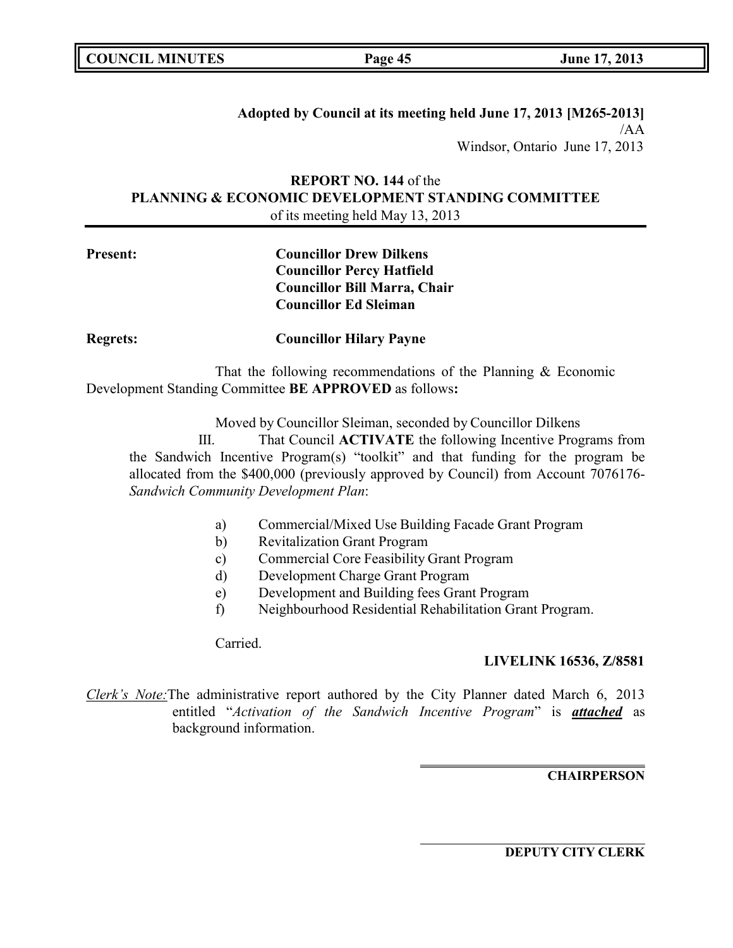| <b>COUNCIL MINUTES</b> |  |
|------------------------|--|
|------------------------|--|

**Adopted by Council at its meeting held June 17, 2013 [M265-2013]**  $/AA$ Windsor, Ontario June 17, 2013

# **REPORT NO. 144** of the **PLANNING & ECONOMIC DEVELOPMENT STANDING COMMITTEE** of its meeting held May 13, 2013

# **Present: Councillor Drew Dilkens Councillor Percy Hatfield Councillor Bill Marra, Chair Councillor Ed Sleiman**

**Regrets: Councillor Hilary Payne**

That the following recommendations of the Planning & Economic Development Standing Committee **BE APPROVED** as follows**:**

Moved by Councillor Sleiman, seconded by Councillor Dilkens

III. That Council **ACTIVATE** the following Incentive Programs from the Sandwich Incentive Program(s) "toolkit" and that funding for the program be allocated from the \$400,000 (previously approved by Council) from Account 7076176- *Sandwich Community Development Plan*:

- a) Commercial/Mixed Use Building Facade Grant Program
- b) Revitalization Grant Program
- c) Commercial Core Feasibility Grant Program
- d) Development Charge Grant Program
- e) Development and Building fees Grant Program
- f) Neighbourhood Residential Rehabilitation Grant Program.

Carried.

### **LIVELINK 16536, Z/8581**

*Clerk's Note:*The administrative report authored by the City Planner dated March 6, 2013 entitled "*Activation of the Sandwich Incentive Program*" is *attached* as background information.

### **CHAIRPERSON**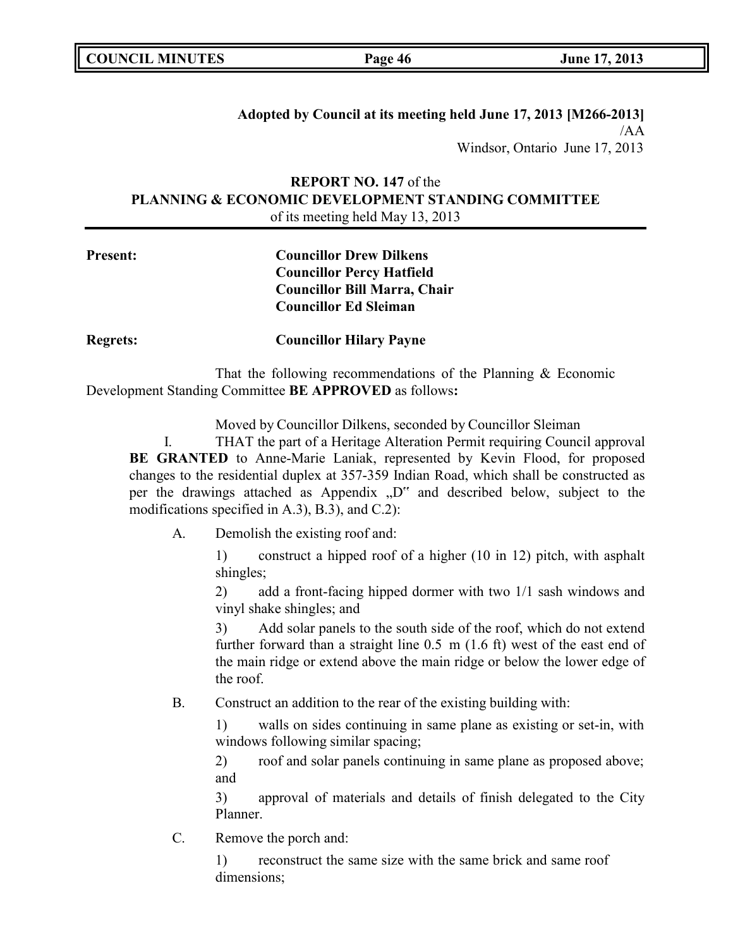|  | <b>COUNCIL MINUTES</b> |
|--|------------------------|
|--|------------------------|

## **Adopted by Council at its meeting held June 17, 2013 [M266-2013]** /AA Windsor, Ontario June 17, 2013

# **REPORT NO. 147** of the **PLANNING & ECONOMIC DEVELOPMENT STANDING COMMITTEE** of its meeting held May 13, 2013

# **Present: Councillor Drew Dilkens Councillor Percy Hatfield Councillor Bill Marra, Chair Councillor Ed Sleiman**

**Regrets: Councillor Hilary Payne**

That the following recommendations of the Planning & Economic Development Standing Committee **BE APPROVED** as follows**:**

Moved by Councillor Dilkens, seconded by Councillor Sleiman

I. THAT the part of a Heritage Alteration Permit requiring Council approval **BE GRANTED** to Anne-Marie Laniak, represented by Kevin Flood, for proposed changes to the residential duplex at 357-359 Indian Road, which shall be constructed as per the drawings attached as Appendix "D" and described below, subject to the modifications specified in A.3), B.3), and C.2):

A. Demolish the existing roof and:

1) construct a hipped roof of a higher (10 in 12) pitch, with asphalt shingles;

2) add a front-facing hipped dormer with two 1/1 sash windows and vinyl shake shingles; and

3) Add solar panels to the south side of the roof, which do not extend further forward than a straight line 0.5 m (1.6 ft) west of the east end of the main ridge or extend above the main ridge or below the lower edge of the roof.

B. Construct an addition to the rear of the existing building with:

1) walls on sides continuing in same plane as existing or set-in, with windows following similar spacing;

2) roof and solar panels continuing in same plane as proposed above; and

3) approval of materials and details of finish delegated to the City Planner.

C. Remove the porch and:

1) reconstruct the same size with the same brick and same roof dimensions;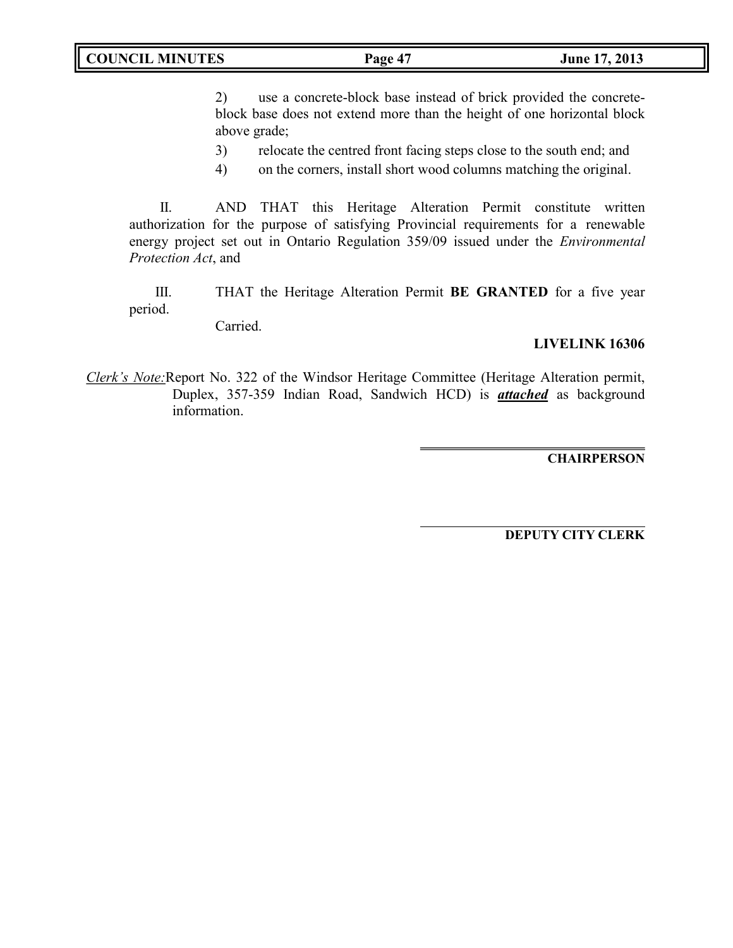2) use a concrete-block base instead of brick provided the concreteblock base does not extend more than the height of one horizontal block above grade;

3) relocate the centred front facing steps close to the south end; and

4) on the corners, install short wood columns matching the original.

II. AND THAT this Heritage Alteration Permit constitute written authorization for the purpose of satisfying Provincial requirements for a renewable energy project set out in Ontario Regulation 359/09 issued under the *Environmental Protection Act*, and

III. THAT the Heritage Alteration Permit **BE GRANTED** for a five year period.

Carried.

## **LIVELINK 16306**

*Clerk's Note:*Report No. 322 of the Windsor Heritage Committee (Heritage Alteration permit, Duplex, 357-359 Indian Road, Sandwich HCD) is *attached* as background information.

**CHAIRPERSON**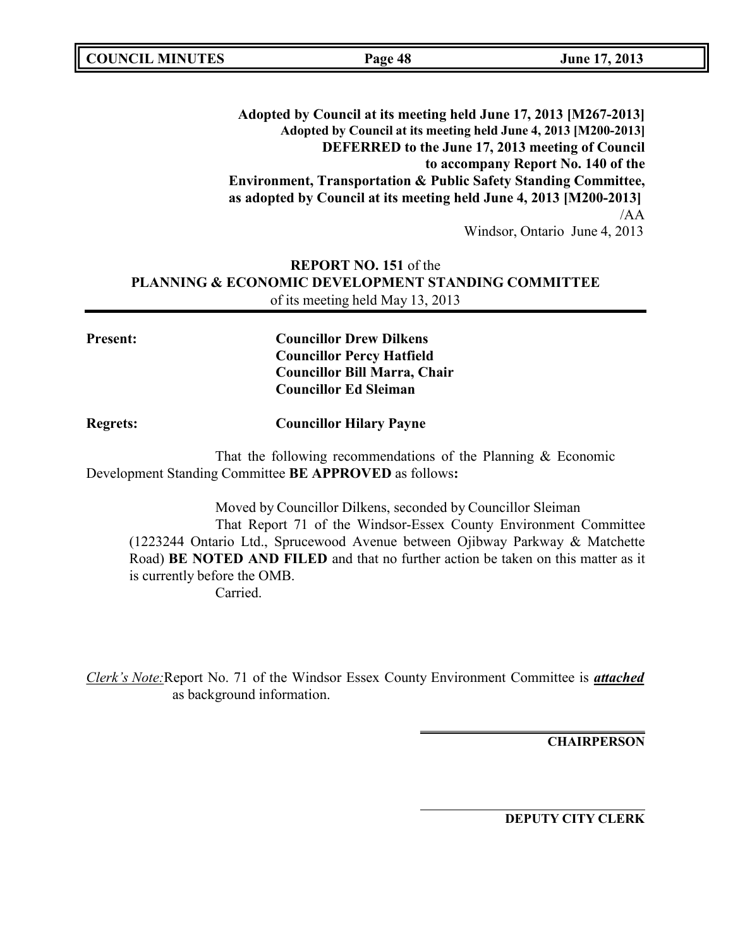| <b>COUNCIL MINUTES</b> | Page 48                                                                                                                                          | June 17, 2013                      |
|------------------------|--------------------------------------------------------------------------------------------------------------------------------------------------|------------------------------------|
|                        |                                                                                                                                                  |                                    |
|                        | Adopted by Council at its meeting held June 17, 2013 [M267-2013]                                                                                 |                                    |
|                        | Adopted by Council at its meeting held June 4, 2013 [M200-2013]                                                                                  |                                    |
|                        | DEFERRED to the June 17, 2013 meeting of Council                                                                                                 |                                    |
|                        |                                                                                                                                                  | to accompany Report No. 140 of the |
|                        | <b>Environment, Transportation &amp; Public Safety Standing Committee,</b><br>as adopted by Council at its meeting held June 4, 2013 [M200-2013] |                                    |
|                        |                                                                                                                                                  | /AA                                |
|                        |                                                                                                                                                  | Windsor, Ontario June 4, 2013      |
|                        | <b>REPORT NO. 151 of the</b>                                                                                                                     |                                    |
|                        | <b>PLANNING &amp; ECONOMIC DEVELOPMENT STANDING COMMITTEE</b>                                                                                    |                                    |
|                        | of its meeting held May 13, 2013                                                                                                                 |                                    |
|                        |                                                                                                                                                  |                                    |
| <b>Present:</b>        | <b>Councillor Drew Dilkens</b>                                                                                                                   |                                    |
|                        | <b>Councillor Percy Hatfield</b>                                                                                                                 |                                    |
|                        | <b>Councillor Bill Marra, Chair</b>                                                                                                              |                                    |
|                        | <b>Councillor Ed Sleiman</b>                                                                                                                     |                                    |
| <b>Regrets:</b>        | <b>Councillor Hilary Payne</b>                                                                                                                   |                                    |
|                        | That the following recommendations of the Planning $&$ Economic                                                                                  |                                    |

Development Standing Committee **BE APPROVED** as follows**:** Moved by Councillor Dilkens, seconded by Councillor Sleiman

That Report 71 of the Windsor-Essex County Environment Committee (1223244 Ontario Ltd., Sprucewood Avenue between Ojibway Parkway & Matchette Road) **BE NOTED AND FILED** and that no further action be taken on this matter as it is currently before the OMB.

Carried.

*Clerk's Note:*Report No. 71 of the Windsor Essex County Environment Committee is *attached* as background information.

**CHAIRPERSON**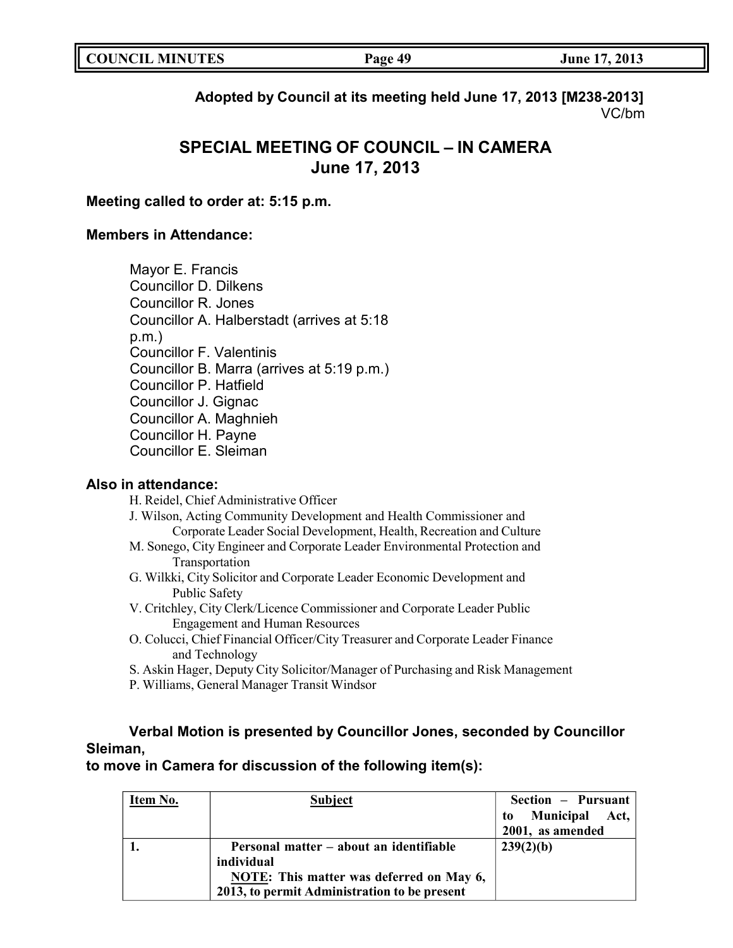| <b>COUNCIL MINUTES</b> | Page 49 | June 17, 2013 |
|------------------------|---------|---------------|
|                        |         |               |

**Adopted by Council at its meeting held June 17, 2013 [M238-2013]** VC/bm

# **SPECIAL MEETING OF COUNCIL – IN CAMERA June 17, 2013**

### **Meeting called to order at: 5:15 p.m.**

### **Members in Attendance:**

Mayor E. Francis Councillor D. Dilkens Councillor R. Jones Councillor A. Halberstadt (arrives at 5:18 p.m.) Councillor F. Valentinis Councillor B. Marra (arrives at 5:19 p.m.) Councillor P. Hatfield Councillor J. Gignac Councillor A. Maghnieh Councillor H. Payne Councillor E. Sleiman

### **Also in attendance:**

H. Reidel, Chief Administrative Officer

J. Wilson, Acting Community Development and Health Commissioner and Corporate Leader Social Development, Health, Recreation and Culture

- M. Sonego, City Engineer and Corporate Leader Environmental Protection and Transportation
- G. Wilkki, City Solicitor and Corporate Leader Economic Development and Public Safety
- V. Critchley, City Clerk/Licence Commissioner and Corporate Leader Public Engagement and Human Resources
- O. Colucci, Chief Financial Officer/City Treasurer and Corporate Leader Finance and Technology
- S. Askin Hager, Deputy City Solicitor/Manager of Purchasing and Risk Management
- P. Williams, General Manager Transit Windsor

# **Verbal Motion is presented by Councillor Jones, seconded by Councillor Sleiman,**

**to move in Camera for discussion of the following item(s):**

| Item No. | Subject                                         | Section - Pursuant          |
|----------|-------------------------------------------------|-----------------------------|
|          |                                                 | <b>Municipal Act,</b><br>to |
|          |                                                 | 2001, as amended            |
|          | Personal matter – about an identifiable         | 239(2)(b)                   |
|          | individual                                      |                             |
|          | <b>NOTE:</b> This matter was deferred on May 6, |                             |
|          | 2013, to permit Administration to be present    |                             |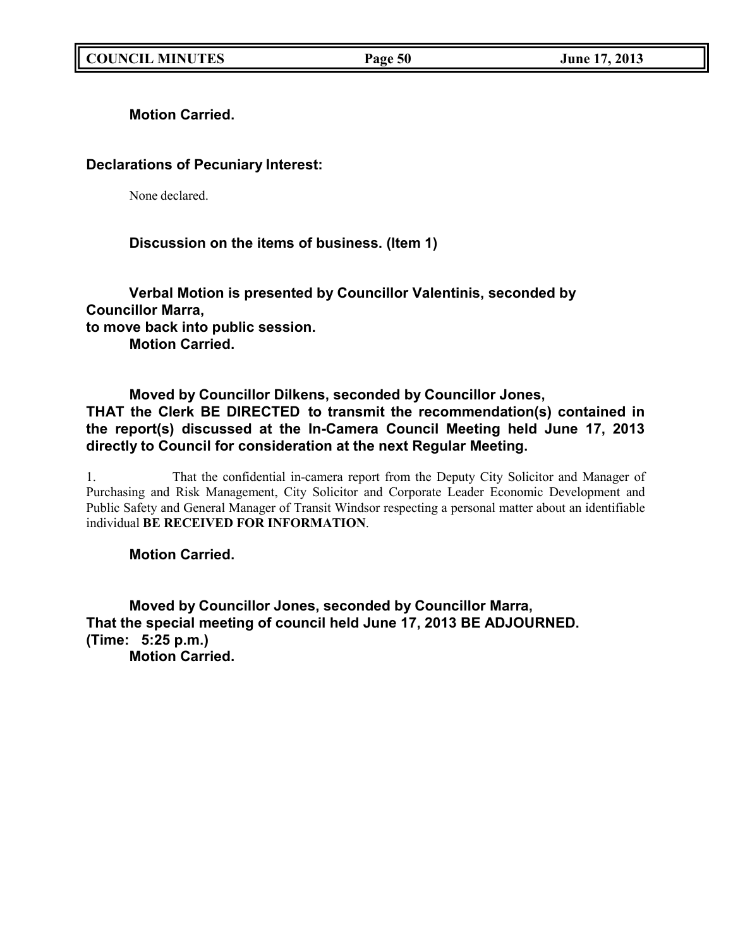**Motion Carried.**

# **Declarations of Pecuniary Interest:**

None declared.

# **Discussion on the items of business. (Item 1)**

**Verbal Motion is presented by Councillor Valentinis, seconded by Councillor Marra, to move back into public session. Motion Carried.**

# **Moved by Councillor Dilkens, seconded by Councillor Jones, THAT the Clerk BE DIRECTED to transmit the recommendation(s) contained in the report(s) discussed at the In-Camera Council Meeting held June 17, 2013 directly to Council for consideration at the next Regular Meeting.**

1. That the confidential in-camera report from the Deputy City Solicitor and Manager of Purchasing and Risk Management, City Solicitor and Corporate Leader Economic Development and Public Safety and General Manager of Transit Windsor respecting a personal matter about an identifiable individual **BE RECEIVED FOR INFORMATION**.

**Motion Carried.**

**Moved by Councillor Jones, seconded by Councillor Marra, That the special meeting of council held June 17, 2013 BE ADJOURNED. (Time: 5:25 p.m.) Motion Carried.**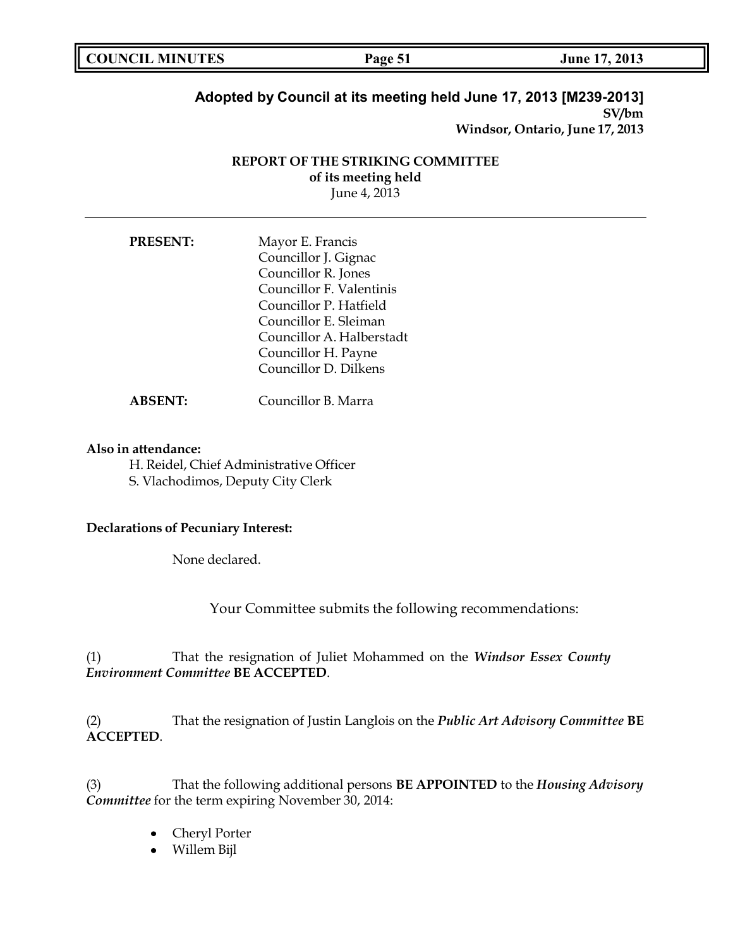| <b>COUNCIL MINUTES</b><br><b>June 17, 2013</b><br>Page 51 |  |
|-----------------------------------------------------------|--|
|-----------------------------------------------------------|--|

### **Adopted by Council at its meeting held June 17, 2013 [M239-2013] SV/bm**

**Windsor, Ontario, June 17, 2013**

### **REPORT OF THE STRIKING COMMITTEE of its meeting held** June 4, 2013

| <b>PRESENT:</b> | Mayor E. Francis          |
|-----------------|---------------------------|
|                 | Councillor J. Gignac      |
|                 | Councillor R. Jones       |
|                 | Councillor F. Valentinis  |
|                 | Councillor P. Hatfield    |
|                 | Councillor E. Sleiman     |
|                 | Councillor A. Halberstadt |
|                 | Councillor H. Payne       |
|                 | Councillor D. Dilkens     |
|                 |                           |

**ABSENT:** Councillor B. Marra

### **Also in attendance:**

H. Reidel, Chief Administrative Officer S. Vlachodimos, Deputy City Clerk

### **Declarations of Pecuniary Interest:**

None declared.

Your Committee submits the following recommendations:

(1) That the resignation of Juliet Mohammed on the *Windsor Essex County Environment Committee* **BE ACCEPTED**.

(2) That the resignation of Justin Langlois on the *Public Art Advisory Committee* **BE ACCEPTED**.

(3) That the following additional persons **BE APPOINTED** to the *Housing Advisory Committee* for the term expiring November 30, 2014:

- Cheryl Porter
- Willem Bijl